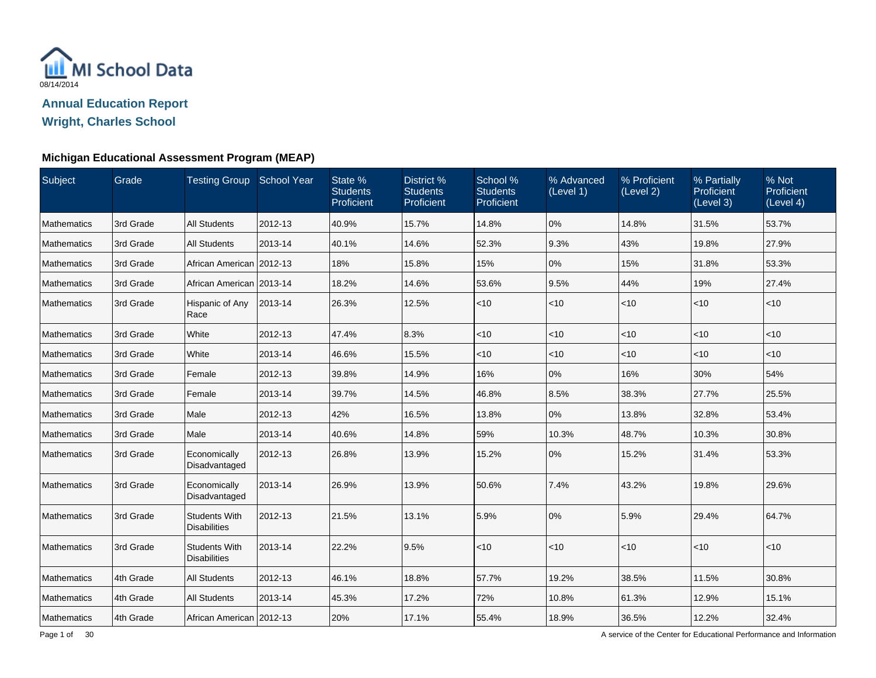

#### **Michigan Educational Assessment Program (MEAP)**

| Subject            | Grade     | Testing Group School Year                   |         | State %<br><b>Students</b><br>Proficient | District %<br><b>Students</b><br>Proficient | School %<br><b>Students</b><br>Proficient | % Advanced<br>(Level 1) | % Proficient<br>(Level 2) | % Partially<br>Proficient<br>(Level 3) | % Not<br>Proficient<br>(Level 4) |
|--------------------|-----------|---------------------------------------------|---------|------------------------------------------|---------------------------------------------|-------------------------------------------|-------------------------|---------------------------|----------------------------------------|----------------------------------|
| <b>Mathematics</b> | 3rd Grade | <b>All Students</b>                         | 2012-13 | 40.9%                                    | 15.7%                                       | 14.8%                                     | 0%                      | 14.8%                     | 31.5%                                  | 53.7%                            |
| <b>Mathematics</b> | 3rd Grade | <b>All Students</b>                         | 2013-14 | 40.1%                                    | 14.6%                                       | 52.3%                                     | 9.3%                    | 43%                       | 19.8%                                  | 27.9%                            |
| <b>Mathematics</b> | 3rd Grade | African American 2012-13                    |         | 18%                                      | 15.8%                                       | 15%                                       | 0%                      | 15%                       | 31.8%                                  | 53.3%                            |
| <b>Mathematics</b> | 3rd Grade | African American 2013-14                    |         | 18.2%                                    | 14.6%                                       | 53.6%                                     | 9.5%                    | 44%                       | 19%                                    | 27.4%                            |
| <b>Mathematics</b> | 3rd Grade | Hispanic of Any<br>Race                     | 2013-14 | 26.3%                                    | 12.5%                                       | < 10                                      | $<$ 10                  | $<$ 10                    | $ $ < 10                               | $ $ < 10                         |
| <b>Mathematics</b> | 3rd Grade | White                                       | 2012-13 | 47.4%                                    | 8.3%                                        | $<$ 10                                    | $<$ 10                  | $<$ 10                    | $ $ < 10                               | $ $ < 10                         |
| <b>Mathematics</b> | 3rd Grade | White                                       | 2013-14 | 46.6%                                    | 15.5%                                       | $<$ 10                                    | $<$ 10                  | <10                       | $<$ 10                                 | $ $ < 10                         |
| Mathematics        | 3rd Grade | Female                                      | 2012-13 | 39.8%                                    | 14.9%                                       | 16%                                       | 0%                      | 16%                       | 30%                                    | 54%                              |
| Mathematics        | 3rd Grade | Female                                      | 2013-14 | 39.7%                                    | 14.5%                                       | 46.8%                                     | 8.5%                    | 38.3%                     | 27.7%                                  | 25.5%                            |
| Mathematics        | 3rd Grade | Male                                        | 2012-13 | 42%                                      | 16.5%                                       | 13.8%                                     | 0%                      | 13.8%                     | 32.8%                                  | 53.4%                            |
| Mathematics        | 3rd Grade | Male                                        | 2013-14 | 40.6%                                    | 14.8%                                       | 59%                                       | 10.3%                   | 48.7%                     | 10.3%                                  | 30.8%                            |
| Mathematics        | 3rd Grade | Economically<br>Disadvantaged               | 2012-13 | 26.8%                                    | 13.9%                                       | 15.2%                                     | 0%                      | 15.2%                     | 31.4%                                  | 53.3%                            |
| Mathematics        | 3rd Grade | Economically<br>Disadvantaged               | 2013-14 | 26.9%                                    | 13.9%                                       | 50.6%                                     | 7.4%                    | 43.2%                     | 19.8%                                  | 29.6%                            |
| Mathematics        | 3rd Grade | <b>Students With</b><br><b>Disabilities</b> | 2012-13 | 21.5%                                    | 13.1%                                       | 5.9%                                      | 0%                      | 5.9%                      | 29.4%                                  | 64.7%                            |
| Mathematics        | 3rd Grade | <b>Students With</b><br><b>Disabilities</b> | 2013-14 | 22.2%                                    | 9.5%                                        | < 10                                      | < 10                    | $<$ 10                    | $ $ < 10                               | $ $ < 10                         |
| Mathematics        | 4th Grade | <b>All Students</b>                         | 2012-13 | 46.1%                                    | 18.8%                                       | 57.7%                                     | 19.2%                   | 38.5%                     | 11.5%                                  | 30.8%                            |
| Mathematics        | 4th Grade | <b>All Students</b>                         | 2013-14 | 45.3%                                    | 17.2%                                       | 72%                                       | 10.8%                   | 61.3%                     | 12.9%                                  | 15.1%                            |
| Mathematics        | 4th Grade | African American   2012-13                  |         | 20%                                      | 17.1%                                       | 55.4%                                     | 18.9%                   | 36.5%                     | 12.2%                                  | 32.4%                            |

A service of the Center for Educational Performance and Information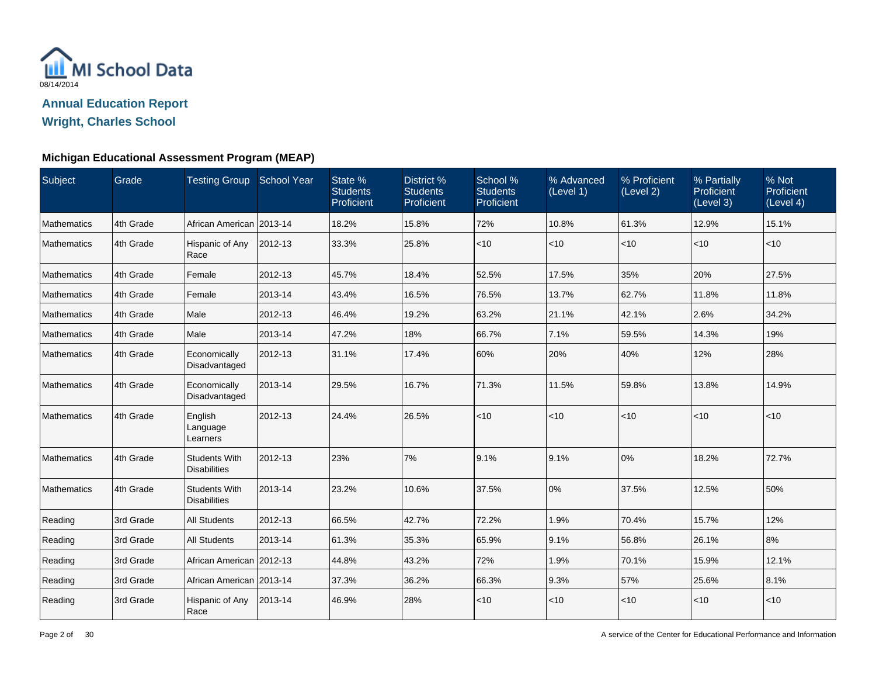

#### **Michigan Educational Assessment Program (MEAP)**

| Subject     | Grade     | Testing Group School Year                   |         | State %<br><b>Students</b><br>Proficient | District %<br><b>Students</b><br>Proficient | School %<br><b>Students</b><br>Proficient | % Advanced<br>(Level 1) | % Proficient<br>(Level 2) | % Partially<br>Proficient<br>(Level 3) | % Not<br>Proficient<br>(Level 4) |
|-------------|-----------|---------------------------------------------|---------|------------------------------------------|---------------------------------------------|-------------------------------------------|-------------------------|---------------------------|----------------------------------------|----------------------------------|
| Mathematics | 4th Grade | African American   2013-14                  |         | 18.2%                                    | 15.8%                                       | 72%                                       | 10.8%                   | 61.3%                     | 12.9%                                  | 15.1%                            |
| Mathematics | 4th Grade | Hispanic of Any<br>Race                     | 2012-13 | 33.3%                                    | 25.8%                                       | < 10                                      | $ $ < 10                | $ $ < 10                  | $<$ 10                                 | $<$ 10                           |
| Mathematics | 4th Grade | Female                                      | 2012-13 | 45.7%                                    | 18.4%                                       | 52.5%                                     | 17.5%                   | 35%                       | 20%                                    | 27.5%                            |
| Mathematics | 4th Grade | Female                                      | 2013-14 | 43.4%                                    | 16.5%                                       | 76.5%                                     | 13.7%                   | 62.7%                     | 11.8%                                  | 11.8%                            |
| Mathematics | 4th Grade | Male                                        | 2012-13 | 46.4%                                    | 19.2%                                       | 63.2%                                     | 21.1%                   | 42.1%                     | 2.6%                                   | 34.2%                            |
| Mathematics | 4th Grade | Male                                        | 2013-14 | 47.2%                                    | 18%                                         | 66.7%                                     | 7.1%                    | 59.5%                     | 14.3%                                  | 19%                              |
| Mathematics | 4th Grade | Economically<br>Disadvantaged               | 2012-13 | 31.1%                                    | 17.4%                                       | 60%                                       | 20%                     | 40%                       | 12%                                    | 28%                              |
| Mathematics | 4th Grade | Economically<br>Disadvantaged               | 2013-14 | 29.5%                                    | 16.7%                                       | 71.3%                                     | 11.5%                   | 59.8%                     | 13.8%                                  | 14.9%                            |
| Mathematics | 4th Grade | English<br>Language<br>Learners             | 2012-13 | 24.4%                                    | 26.5%                                       | < 10                                      | $ $ < 10                | $ $ < 10                  | < 10                                   | $<$ 10                           |
| Mathematics | 4th Grade | <b>Students With</b><br><b>Disabilities</b> | 2012-13 | 23%                                      | 7%                                          | 9.1%                                      | 9.1%                    | 0%                        | 18.2%                                  | 72.7%                            |
| Mathematics | 4th Grade | <b>Students With</b><br><b>Disabilities</b> | 2013-14 | 23.2%                                    | 10.6%                                       | 37.5%                                     | 0%                      | 37.5%                     | 12.5%                                  | 50%                              |
| Reading     | 3rd Grade | <b>All Students</b>                         | 2012-13 | 66.5%                                    | 42.7%                                       | 72.2%                                     | 1.9%                    | 70.4%                     | 15.7%                                  | 12%                              |
| Reading     | 3rd Grade | <b>All Students</b>                         | 2013-14 | 61.3%                                    | 35.3%                                       | 65.9%                                     | 9.1%                    | 56.8%                     | 26.1%                                  | 8%                               |
| Reading     | 3rd Grade | African American 2012-13                    |         | 44.8%                                    | 43.2%                                       | 72%                                       | 1.9%                    | 70.1%                     | 15.9%                                  | 12.1%                            |
| Reading     | 3rd Grade | African American   2013-14                  |         | 37.3%                                    | 36.2%                                       | 66.3%                                     | 9.3%                    | 57%                       | 25.6%                                  | 8.1%                             |
| Reading     | 3rd Grade | Hispanic of Any<br>Race                     | 2013-14 | 46.9%                                    | 28%                                         | $<10$                                     | $ $ < 10                | $<$ 10                    | $<$ 10                                 | $<$ 10                           |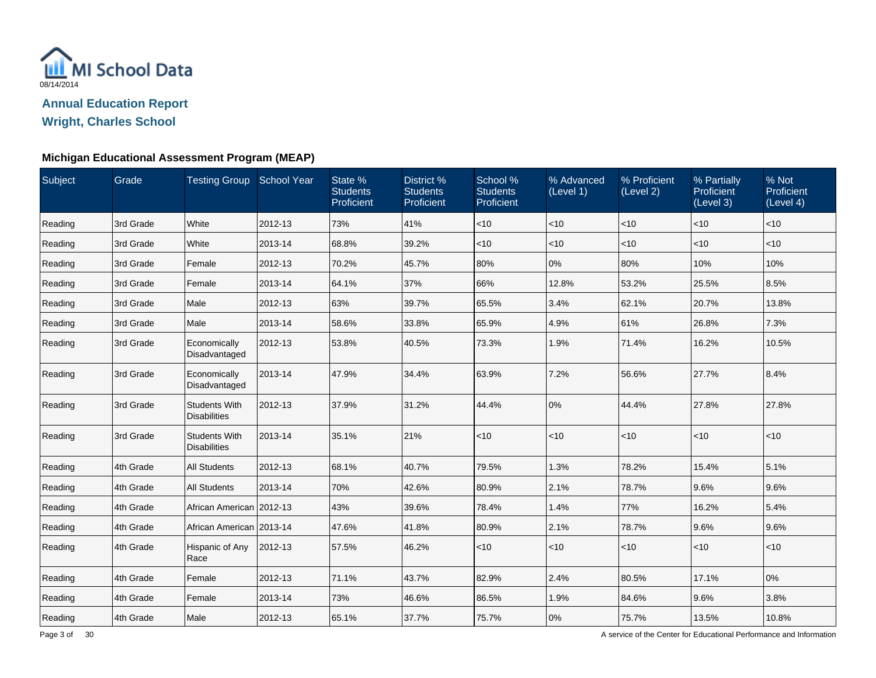

**Wright, Charles School**

### **Michigan Educational Assessment Program (MEAP)**

| Subject | Grade     | Testing Group School Year                   |         | State %<br><b>Students</b><br>Proficient | District %<br><b>Students</b><br>Proficient | School %<br><b>Students</b><br>Proficient | % Advanced<br>(Level 1) | % Proficient<br>(Level 2) | % Partially<br>Proficient<br>(Level 3) | % Not<br>Proficient<br>(Level 4) |
|---------|-----------|---------------------------------------------|---------|------------------------------------------|---------------------------------------------|-------------------------------------------|-------------------------|---------------------------|----------------------------------------|----------------------------------|
| Reading | 3rd Grade | White                                       | 2012-13 | 73%                                      | 41%                                         | $<$ 10                                    | $<$ 10                  | <10                       | $<$ 10                                 | $<$ 10                           |
| Reading | 3rd Grade | White                                       | 2013-14 | 68.8%                                    | 39.2%                                       | $<$ 10                                    | < 10                    | $<$ 10                    | $<$ 10                                 | <10                              |
| Reading | 3rd Grade | Female                                      | 2012-13 | 70.2%                                    | 45.7%                                       | 80%                                       | 0%                      | 80%                       | 10%                                    | 10%                              |
| Reading | 3rd Grade | Female                                      | 2013-14 | 64.1%                                    | 37%                                         | 66%                                       | 12.8%                   | 53.2%                     | 25.5%                                  | 8.5%                             |
| Reading | 3rd Grade | Male                                        | 2012-13 | 63%                                      | 39.7%                                       | 65.5%                                     | 3.4%                    | 62.1%                     | 20.7%                                  | 13.8%                            |
| Reading | 3rd Grade | Male                                        | 2013-14 | 58.6%                                    | 33.8%                                       | 65.9%                                     | 4.9%                    | 61%                       | 26.8%                                  | 7.3%                             |
| Reading | 3rd Grade | Economically<br>Disadvantaged               | 2012-13 | 53.8%                                    | 40.5%                                       | 73.3%                                     | 1.9%                    | 71.4%                     | 16.2%                                  | 10.5%                            |
| Reading | 3rd Grade | Economically<br>Disadvantaged               | 2013-14 | 47.9%                                    | 34.4%                                       | 63.9%                                     | 7.2%                    | 56.6%                     | 27.7%                                  | 8.4%                             |
| Reading | 3rd Grade | <b>Students With</b><br><b>Disabilities</b> | 2012-13 | 37.9%                                    | 31.2%                                       | 44.4%                                     | 0%                      | 44.4%                     | 27.8%                                  | 27.8%                            |
| Reading | 3rd Grade | <b>Students With</b><br><b>Disabilities</b> | 2013-14 | 35.1%                                    | 21%                                         | $<$ 10                                    | < 10                    | $<$ 10                    | <10                                    | $<$ 10                           |
| Reading | 4th Grade | <b>All Students</b>                         | 2012-13 | 68.1%                                    | 40.7%                                       | 79.5%                                     | 1.3%                    | 78.2%                     | 15.4%                                  | 5.1%                             |
| Reading | 4th Grade | <b>All Students</b>                         | 2013-14 | 70%                                      | 42.6%                                       | 80.9%                                     | 2.1%                    | 78.7%                     | 9.6%                                   | 9.6%                             |
| Reading | 4th Grade | African American 2012-13                    |         | 43%                                      | 39.6%                                       | 78.4%                                     | 1.4%                    | 77%                       | 16.2%                                  | 5.4%                             |
| Reading | 4th Grade | African American l2013-14                   |         | 47.6%                                    | 41.8%                                       | 80.9%                                     | 2.1%                    | 78.7%                     | 9.6%                                   | 9.6%                             |
| Reading | 4th Grade | Hispanic of Any<br>Race                     | 2012-13 | 57.5%                                    | 46.2%                                       | $<$ 10                                    | < 10                    | $<$ 10                    | $<$ 10                                 | $<$ 10                           |
| Reading | 4th Grade | Female                                      | 2012-13 | 71.1%                                    | 43.7%                                       | 82.9%                                     | 2.4%                    | 80.5%                     | 17.1%                                  | 10%                              |
| Reading | 4th Grade | Female                                      | 2013-14 | 73%                                      | 46.6%                                       | 86.5%                                     | 1.9%                    | 84.6%                     | 9.6%                                   | 3.8%                             |
| Reading | 4th Grade | Male                                        | 2012-13 | 65.1%                                    | 37.7%                                       | 75.7%                                     | 0%                      | 75.7%                     | 13.5%                                  | 10.8%                            |

A service of the Center for Educational Performance and Information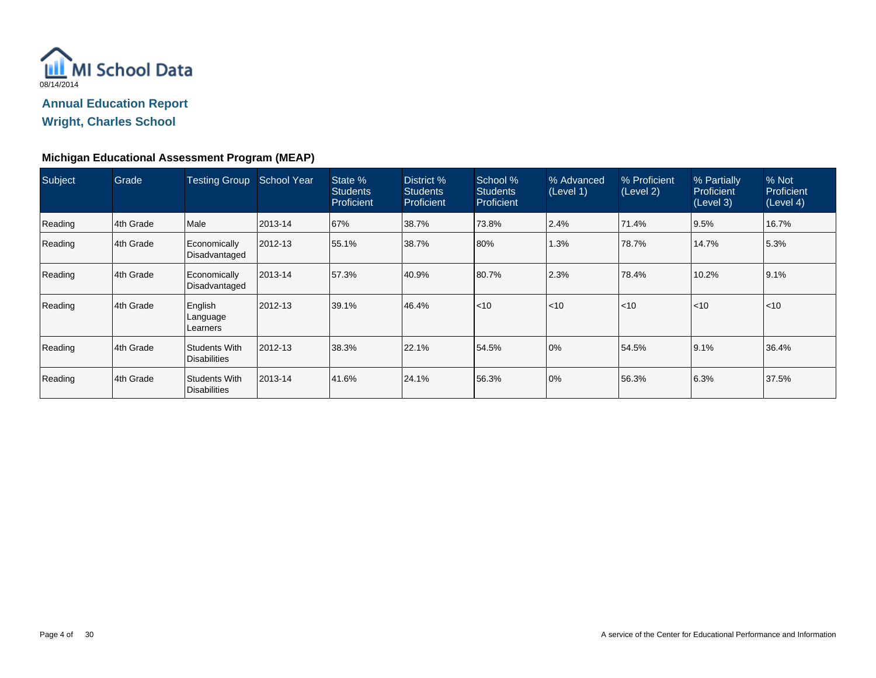

**Wright, Charles School**

#### **Michigan Educational Assessment Program (MEAP)**

| Subject | Grade      | <b>Testing Group</b>                        | <b>School Year</b> | State %<br><b>Students</b><br>Proficient | District %<br><b>Students</b><br>Proficient | School %<br><b>Students</b><br>Proficient | % Advanced<br>(Level 1) | % Proficient<br>(Level 2) | % Partially<br>Proficient<br>(Level 3) | % Not<br>Proficient<br>(Level 4) |
|---------|------------|---------------------------------------------|--------------------|------------------------------------------|---------------------------------------------|-------------------------------------------|-------------------------|---------------------------|----------------------------------------|----------------------------------|
| Reading | 4th Grade  | Male                                        | 2013-14            | 67%                                      | 38.7%                                       | 73.8%                                     | 2.4%                    | 71.4%                     | 9.5%                                   | 16.7%                            |
| Reading | 4th Grade  | Economically<br>Disadvantaged               | 2012-13            | 55.1%                                    | 38.7%                                       | 80%                                       | 1.3%                    | 178.7%                    | 14.7%                                  | 5.3%                             |
| Reading | 14th Grade | Economically<br>Disadvantaged               | $ 2013 - 14$       | 57.3%                                    | 40.9%                                       | 80.7%                                     | 2.3%                    | 78.4%                     | 10.2%                                  | 9.1%                             |
| Reading | 4th Grade  | English<br>Language<br>Learners             | $ 2012 - 13 $      | 39.1%                                    | 46.4%                                       | $ $ < 10                                  | < 10                    | l<10                      | $\leq 10$                              | < 10                             |
| Reading | 4th Grade  | Students With<br><b>Disabilities</b>        | 2012-13            | 38.3%                                    | 22.1%                                       | 54.5%                                     | 0%                      | 54.5%                     | 9.1%                                   | 36.4%                            |
| Reading | 14th Grade | <b>Students With</b><br><b>Disabilities</b> | 2013-14            | 41.6%                                    | 24.1%                                       | 56.3%                                     | 0%                      | 56.3%                     | 6.3%                                   | 37.5%                            |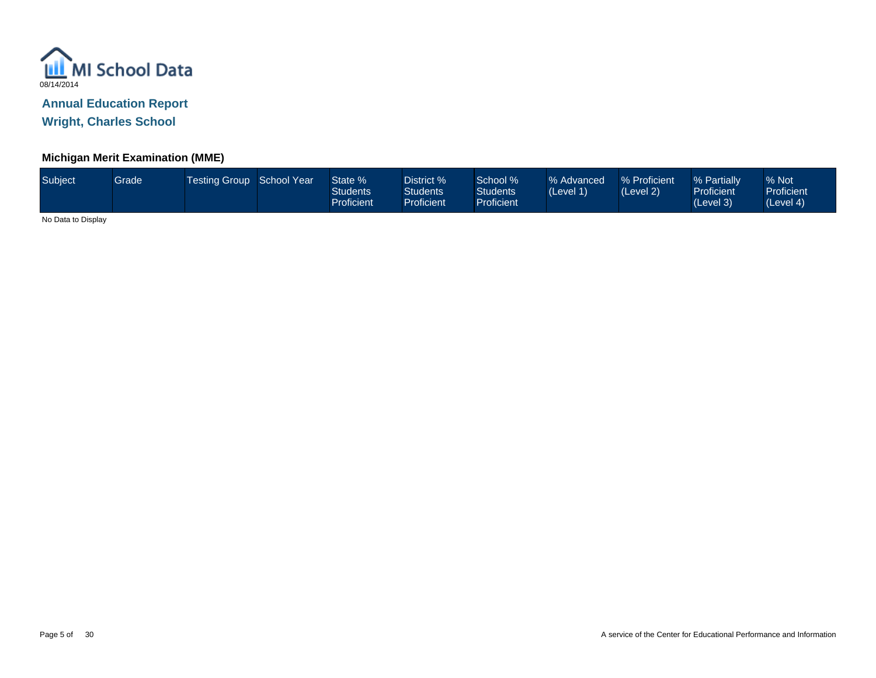

**Wright, Charles School**

### **Michigan Merit Examination (MME)**

| Subject | Grade | <b>Testing Group School Year</b> |  | State %<br>Students<br>Proficient | District %<br><b>Students</b><br><b>Proficient</b> | School %<br><b>Students</b><br><b>Proficient</b> | % Advanced<br>(Level 1) | % Proficient<br>(Level 2) | % Partially<br><b>Proficient</b><br>(Level 3) | % Not<br><b>Proficient</b><br>(Level 4) |
|---------|-------|----------------------------------|--|-----------------------------------|----------------------------------------------------|--------------------------------------------------|-------------------------|---------------------------|-----------------------------------------------|-----------------------------------------|
|---------|-------|----------------------------------|--|-----------------------------------|----------------------------------------------------|--------------------------------------------------|-------------------------|---------------------------|-----------------------------------------------|-----------------------------------------|

No Data to Display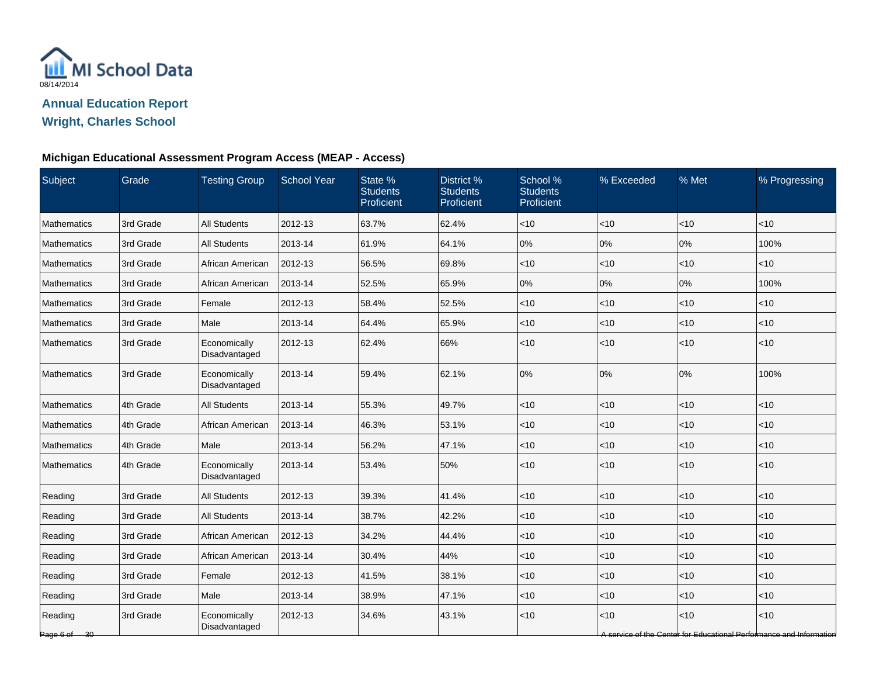

#### **Michigan Educational Assessment Program Access (MEAP - Access)**

| Subject                 | Grade     | <b>Testing Group</b>          | <b>School Year</b> | State %<br><b>Students</b><br>Proficient | District %<br><b>Students</b><br>Proficient | School %<br><b>Students</b><br>Proficient | % Exceeded | % Met    | % Progressing                                                              |
|-------------------------|-----------|-------------------------------|--------------------|------------------------------------------|---------------------------------------------|-------------------------------------------|------------|----------|----------------------------------------------------------------------------|
| Mathematics             | 3rd Grade | <b>All Students</b>           | 2012-13            | 63.7%                                    | 62.4%                                       | < 10                                      | $<$ 10     | $ $ < 10 | $<$ 10                                                                     |
| <b>Mathematics</b>      | 3rd Grade | <b>All Students</b>           | 2013-14            | 61.9%                                    | 64.1%                                       | 0%                                        | 0%         | 0%       | 100%                                                                       |
| Mathematics             | 3rd Grade | African American              | 2012-13            | 56.5%                                    | 69.8%                                       | $<$ 10                                    | $<$ 10     | < 10     | < 10                                                                       |
| <b>Mathematics</b>      | 3rd Grade | African American              | 2013-14            | 52.5%                                    | 65.9%                                       | 0%                                        | 0%         | 0%       | 100%                                                                       |
| <b>Mathematics</b>      | 3rd Grade | Female                        | 2012-13            | 58.4%                                    | 52.5%                                       | $<$ 10                                    | $<$ 10     | $ $ < 10 | $<$ 10                                                                     |
| <b>Mathematics</b>      | 3rd Grade | Male                          | 2013-14            | 64.4%                                    | 65.9%                                       | < 10                                      | $<$ 10     | $ $ < 10 | $<$ 10                                                                     |
| Mathematics             | 3rd Grade | Economically<br>Disadvantaged | 2012-13            | 62.4%                                    | 66%                                         | < 10                                      | < 10       | $ $ < 10 | < 10                                                                       |
| <b>Mathematics</b>      | 3rd Grade | Economically<br>Disadvantaged | 2013-14            | 59.4%                                    | 62.1%                                       | 0%                                        | 0%         | 0%       | 100%                                                                       |
| Mathematics             | 4th Grade | <b>All Students</b>           | 2013-14            | 55.3%                                    | 49.7%                                       | $<$ 10                                    | < 10       | $ $ < 10 | <10                                                                        |
| Mathematics             | 4th Grade | African American              | 2013-14            | 46.3%                                    | 53.1%                                       | < 10                                      | < 10       | $ $ < 10 | < 10                                                                       |
| Mathematics             | 4th Grade | Male                          | 2013-14            | 56.2%                                    | 47.1%                                       | $<$ 10                                    | < 10       | $ $ < 10 | $<$ 10                                                                     |
| <b>Mathematics</b>      | 4th Grade | Economically<br>Disadvantaged | 2013-14            | 53.4%                                    | 50%                                         | < 10                                      | < 10       | $ $ < 10 | < 10                                                                       |
| Reading                 | 3rd Grade | <b>All Students</b>           | 2012-13            | 39.3%                                    | 41.4%                                       | <10                                       | <10        | < 10     | < 10                                                                       |
| Reading                 | 3rd Grade | All Students                  | 2013-14            | 38.7%                                    | 42.2%                                       | $<$ 10                                    | < 10       | $ $ < 10 | < 10                                                                       |
| Reading                 | 3rd Grade | African American              | 2012-13            | 34.2%                                    | 44.4%                                       | $<$ 10                                    | $<$ 10     | < 10     | $<$ 10                                                                     |
| Reading                 | 3rd Grade | African American              | 2013-14            | 30.4%                                    | 44%                                         | $<$ 10                                    | $<$ 10     | $ $ < 10 | $<$ 10                                                                     |
| Reading                 | 3rd Grade | Female                        | 2012-13            | 41.5%                                    | 38.1%                                       | $<10$                                     | $<$ 10     | $ $ < 10 | $<$ 10                                                                     |
| Reading                 | 3rd Grade | Male                          | 2013-14            | 38.9%                                    | 47.1%                                       | < 10                                      | $<$ 10     | $ $ < 10 | < 10                                                                       |
| Reading<br>Page 6 of 30 | 3rd Grade | Economically<br>Disadvantaged | 2012-13            | 34.6%                                    | 43.1%                                       | <10                                       | < 10       | < 10     | ~10<br>A service of the Center for Educational Performance and Information |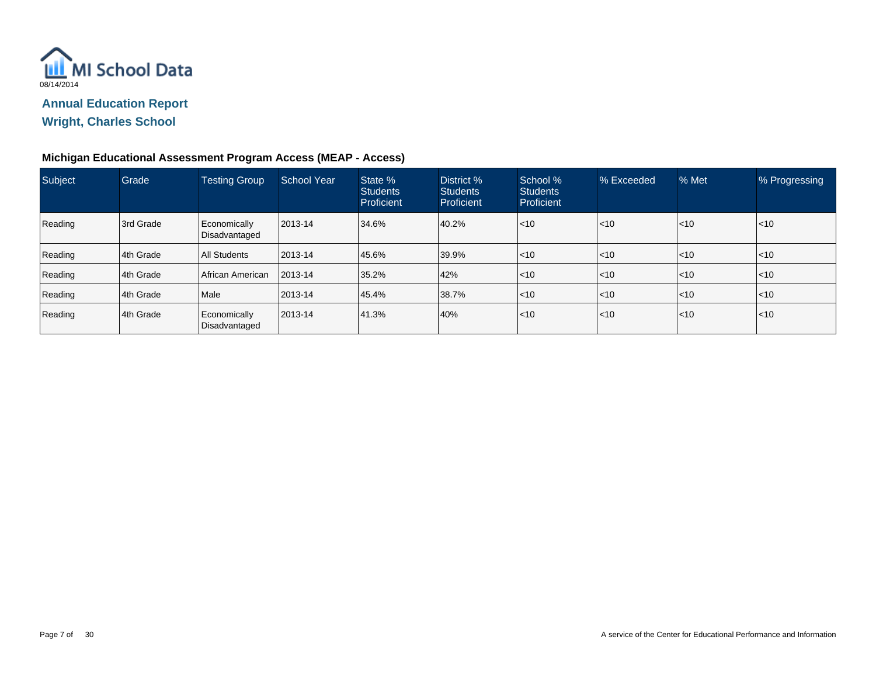

## **Wright, Charles School**

### **Michigan Educational Assessment Program Access (MEAP - Access)**

| Subject | Grade     | <b>Testing Group</b>          | <b>School Year</b> | State %<br><b>Students</b><br>Proficient | District %<br><b>Students</b><br>Proficient | School %<br><b>Students</b><br>Proficient | % Exceeded       | % Met            | % Progressing |
|---------|-----------|-------------------------------|--------------------|------------------------------------------|---------------------------------------------|-------------------------------------------|------------------|------------------|---------------|
| Reading | 3rd Grade | Economically<br>Disadvantaged | 2013-14            | 34.6%                                    | 40.2%                                       | < 10                                      | $ $ < 10         | $\mathsf{I}$ <10 | $ $ < 10      |
| Reading | 4th Grade | <b>All Students</b>           | 2013-14            | 45.6%                                    | 39.9%                                       | $<$ 10                                    | $ $ < 10         | $\leq 10$        | l<10          |
| Reading | 4th Grade | African American              | 2013-14            | 35.2%                                    | 42%                                         | $<$ 10                                    | $ $ < 10         | $ $ < 10         | $\leq 10$     |
| Reading | 4th Grade | Male                          | 2013-14            | 45.4%                                    | 38.7%                                       | $<$ 10                                    | $\mathsf{I}$ <10 | $ $ < 10         | l<10          |
| Reading | 4th Grade | Economically<br>Disadvantaged | 2013-14            | 41.3%                                    | 40%                                         | $\leq 10$                                 | $ $ < 10         | < 10             | $\leq 10$     |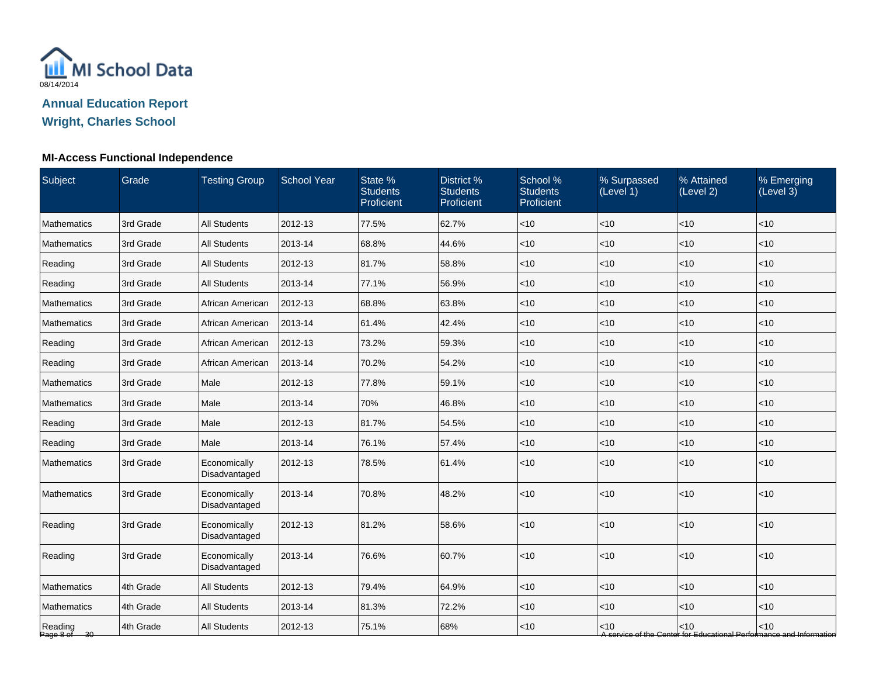

### **MI-Access Functional Independence**

| <b>Subject</b>          | Grade     | <b>Testing Group</b>          | School Year | State %<br><b>Students</b><br>Proficient | District %<br><b>Students</b><br>Proficient | School %<br><b>Students</b><br>Proficient | % Surpassed<br>(Level 1) | % Attained<br>(Level 2) | % Emerging<br>(Level 3)                                                       |
|-------------------------|-----------|-------------------------------|-------------|------------------------------------------|---------------------------------------------|-------------------------------------------|--------------------------|-------------------------|-------------------------------------------------------------------------------|
| <b>Mathematics</b>      | 3rd Grade | <b>All Students</b>           | 2012-13     | 77.5%                                    | 62.7%                                       | $<$ 10                                    | <10                      | < 10                    | $<$ 10                                                                        |
| Mathematics             | 3rd Grade | <b>All Students</b>           | 2013-14     | 68.8%                                    | 44.6%                                       | $<$ 10                                    | <10                      | < 10                    | < 10                                                                          |
| Reading                 | 3rd Grade | <b>All Students</b>           | 2012-13     | 81.7%                                    | 58.8%                                       | $<$ 10                                    | <10                      | <10                     | < 10                                                                          |
| Reading                 | 3rd Grade | <b>All Students</b>           | 2013-14     | 77.1%                                    | 56.9%                                       | $<$ 10                                    | <10                      | < 10                    | < 10                                                                          |
| Mathematics             | 3rd Grade | African American              | 2012-13     | 68.8%                                    | 63.8%                                       | $<$ 10                                    | $<$ 10                   | < 10                    | $<$ 10                                                                        |
| Mathematics             | 3rd Grade | African American              | 2013-14     | 61.4%                                    | 42.4%                                       | $<$ 10                                    | $<$ 10                   | < 10                    | $<$ 10                                                                        |
| Reading                 | 3rd Grade | African American              | 2012-13     | 73.2%                                    | 59.3%                                       | $<$ 10                                    | <10                      | < 10                    | < 10                                                                          |
| Reading                 | 3rd Grade | African American              | 2013-14     | 70.2%                                    | 54.2%                                       | $<$ 10                                    | <10                      | <10                     | < 10                                                                          |
| Mathematics             | 3rd Grade | Male                          | 2012-13     | 77.8%                                    | 59.1%                                       | $<$ 10                                    | < 10                     | < 10                    | < 10                                                                          |
| Mathematics             | 3rd Grade | Male                          | 2013-14     | 70%                                      | 46.8%                                       | $<$ 10                                    | < 10                     | < 10                    | < 10                                                                          |
| Reading                 | 3rd Grade | Male                          | 2012-13     | 81.7%                                    | 54.5%                                       | $<$ 10                                    | <10                      | < 10                    | $<$ 10                                                                        |
| Reading                 | 3rd Grade | Male                          | 2013-14     | 76.1%                                    | 57.4%                                       | $<$ 10                                    | <10                      | <10                     | <10                                                                           |
| Mathematics             | 3rd Grade | Economically<br>Disadvantaged | 2012-13     | 78.5%                                    | 61.4%                                       | $<$ 10                                    | <10                      | <10                     | < 10                                                                          |
| Mathematics             | 3rd Grade | Economically<br>Disadvantaged | 2013-14     | 70.8%                                    | 48.2%                                       | $<10$                                     | < 10                     | < 10                    | < 10                                                                          |
| Reading                 | 3rd Grade | Economically<br>Disadvantaged | 2012-13     | 81.2%                                    | 58.6%                                       | $<10$                                     | <10                      | <10                     | < 10                                                                          |
| Reading                 | 3rd Grade | Economically<br>Disadvantaged | 2013-14     | 76.6%                                    | 60.7%                                       | < 10                                      | < 10                     | <10                     | < 10                                                                          |
| Mathematics             | 4th Grade | <b>All Students</b>           | 2012-13     | 79.4%                                    | 64.9%                                       | $<$ 10                                    | <10                      | <10                     | < 10                                                                          |
| Mathematics             | 4th Grade | <b>All Students</b>           | 2013-14     | 81.3%                                    | 72.2%                                       | $<$ 10                                    | <10                      | < 10                    | $<$ 10                                                                        |
| Reading<br>Page 8 of 30 | 4th Grade | <b>All Students</b>           | 2012-13     | 75.1%                                    | 68%                                         | $<$ 10                                    | < 10                     | < 10                    | $<$ 10<br>A service of the Center for Educational Performance and Information |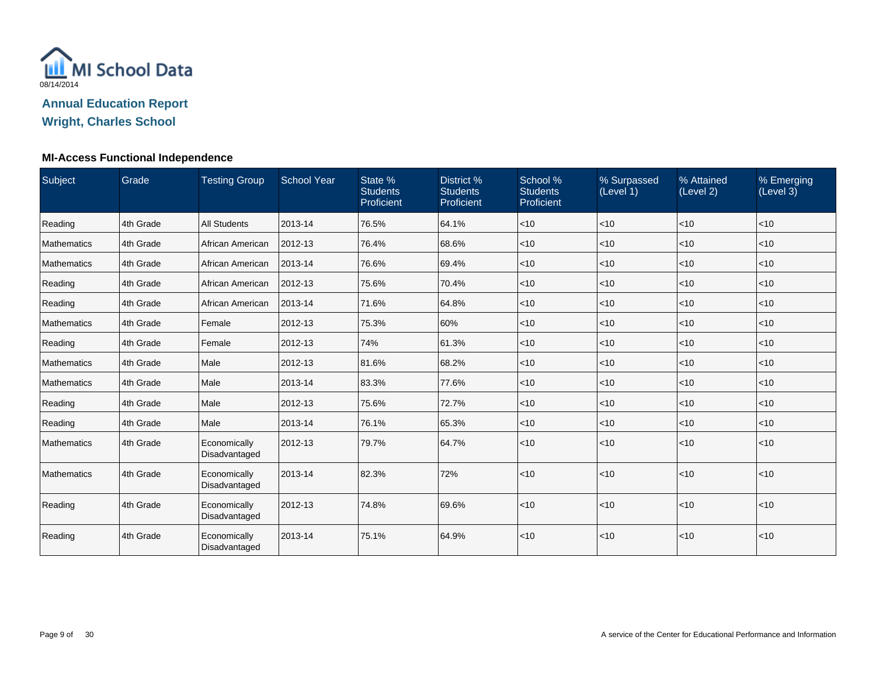

## **Wright, Charles School**

#### **MI-Access Functional Independence**

| Subject            | Grade     | <b>Testing Group</b>          | <b>School Year</b> | State %<br><b>Students</b><br>Proficient | District %<br><b>Students</b><br>Proficient | School %<br><b>Students</b><br>Proficient | % Surpassed<br>(Level 1) | % Attained<br>(Level 2) | % Emerging<br>(Level 3) |
|--------------------|-----------|-------------------------------|--------------------|------------------------------------------|---------------------------------------------|-------------------------------------------|--------------------------|-------------------------|-------------------------|
| Reading            | 4th Grade | <b>All Students</b>           | 2013-14            | 76.5%                                    | 64.1%                                       | < 10                                      | <10                      | < 10                    | < 10                    |
| <b>Mathematics</b> | 4th Grade | African American              | 2012-13            | 76.4%                                    | 68.6%                                       | $\vert$ < 10                              | $<$ 10                   | < 10                    | < 10                    |
| <b>Mathematics</b> | 4th Grade | African American              | 2013-14            | 76.6%                                    | 69.4%                                       | $<$ 10                                    | $<$ 10                   | < 10                    | < 10                    |
| Reading            | 4th Grade | African American              | 2012-13            | 75.6%                                    | 70.4%                                       | $<$ 10                                    | $<$ 10                   | < 10                    | < 10                    |
| Reading            | 4th Grade | African American              | 2013-14            | 71.6%                                    | 64.8%                                       | $<$ 10                                    | <10                      | < 10                    | $<$ 10                  |
| Mathematics        | 4th Grade | Female                        | 2012-13            | 75.3%                                    | 60%                                         | $<$ 10                                    | <10                      | < 10                    | < 10                    |
| Reading            | 4th Grade | Female                        | 2012-13            | 74%                                      | 61.3%                                       | $<$ 10                                    | $<$ 10                   | $<$ 10                  | $<$ 10                  |
| Mathematics        | 4th Grade | Male                          | 2012-13            | 81.6%                                    | 68.2%                                       | $<$ 10                                    | $<$ 10                   | < 10                    | $<$ 10                  |
| Mathematics        | 4th Grade | Male                          | 2013-14            | 83.3%                                    | 77.6%                                       | $<$ 10                                    | $<$ 10                   | $<$ 10                  | $<$ 10                  |
| Reading            | 4th Grade | Male                          | 2012-13            | 75.6%                                    | 72.7%                                       | $<$ 10                                    | <10                      | < 10                    | $<$ 10                  |
| Reading            | 4th Grade | Male                          | 2013-14            | 76.1%                                    | 65.3%                                       | $<$ 10                                    | <10                      | $<$ 10                  | $<$ 10                  |
| <b>Mathematics</b> | 4th Grade | Economically<br>Disadvantaged | 2012-13            | 79.7%                                    | 64.7%                                       | $<$ 10                                    | <10                      | < 10                    | $<$ 10                  |
| Mathematics        | 4th Grade | Economically<br>Disadvantaged | 2013-14            | 82.3%                                    | 72%                                         | < 10                                      | <10                      | < 10                    | < 10                    |
| Reading            | 4th Grade | Economically<br>Disadvantaged | 2012-13            | 74.8%                                    | 69.6%                                       | < 10                                      | <10                      | < 10                    | < 10                    |
| Reading            | 4th Grade | Economically<br>Disadvantaged | 2013-14            | 75.1%                                    | 64.9%                                       | $<$ 10                                    | <10                      | < 10                    | $<$ 10                  |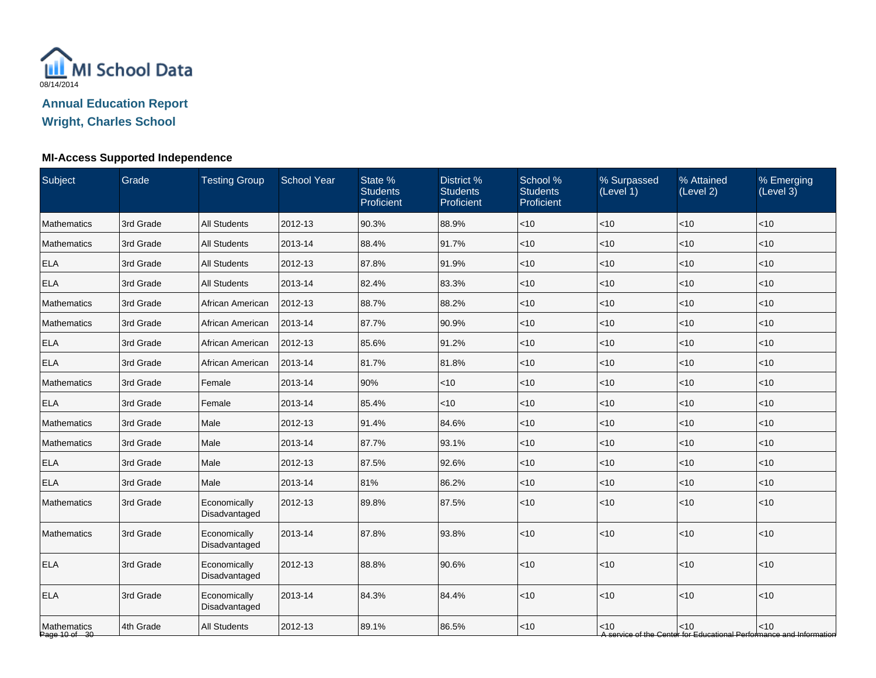

## **Wright, Charles School**

## **MI-Access Supported Independence**

| Subject                      | Grade     | <b>Testing Group</b>          | <b>School Year</b> | State %<br><b>Students</b><br>Proficient | District %<br><b>Students</b><br>Proficient | School %<br><b>Students</b><br>Proficient | % Surpassed<br>(Level 1) | % Attained<br>(Level 2) | % Emerging<br>(Level 3)                                                       |
|------------------------------|-----------|-------------------------------|--------------------|------------------------------------------|---------------------------------------------|-------------------------------------------|--------------------------|-------------------------|-------------------------------------------------------------------------------|
| Mathematics                  | 3rd Grade | <b>All Students</b>           | 2012-13            | 90.3%                                    | 88.9%                                       | $<$ 10                                    | < 10                     | < 10                    | < 10                                                                          |
| Mathematics                  | 3rd Grade | <b>All Students</b>           | 2013-14            | 88.4%                                    | 91.7%                                       | $<$ 10                                    | <10                      | <10                     | <10                                                                           |
| <b>ELA</b>                   | 3rd Grade | <b>All Students</b>           | 2012-13            | 87.8%                                    | 91.9%                                       | $<$ 10                                    | <10                      | <10                     | < 10                                                                          |
| <b>ELA</b>                   | 3rd Grade | All Students                  | 2013-14            | 82.4%                                    | 83.3%                                       | $<$ 10                                    | < 10                     | < 10                    | $<$ 10                                                                        |
| Mathematics                  | 3rd Grade | African American              | 2012-13            | 88.7%                                    | 88.2%                                       | $<$ 10                                    | <10                      | $<$ 10                  | $<$ 10                                                                        |
| Mathematics                  | 3rd Grade | African American              | 2013-14            | 87.7%                                    | 90.9%                                       | $<$ 10                                    | <10                      | < 10                    | $<$ 10                                                                        |
| <b>ELA</b>                   | 3rd Grade | African American              | 2012-13            | 85.6%                                    | 91.2%                                       | $<$ 10                                    | <10                      | < 10                    | < 10                                                                          |
| <b>ELA</b>                   | 3rd Grade | African American              | 2013-14            | 81.7%                                    | 81.8%                                       | $<$ 10                                    | <10                      | <10                     | < 10                                                                          |
| Mathematics                  | 3rd Grade | Female                        | 2013-14            | 90%                                      | < 10                                        | $<$ 10                                    | <10                      | < 10                    | < 10                                                                          |
| <b>ELA</b>                   | 3rd Grade | Female                        | 2013-14            | 85.4%                                    | $<$ 10                                      | $<$ 10                                    | $<$ 10                   | <10                     | $<$ 10                                                                        |
| Mathematics                  | 3rd Grade | Male                          | 2012-13            | 91.4%                                    | 84.6%                                       | $<$ 10                                    | $<$ 10                   | $<$ 10                  | $<$ 10                                                                        |
| Mathematics                  | 3rd Grade | Male                          | 2013-14            | 87.7%                                    | 93.1%                                       | $<$ 10                                    | $<$ 10                   | <10                     | < 10                                                                          |
| <b>ELA</b>                   | 3rd Grade | Male                          | 2012-13            | 87.5%                                    | 92.6%                                       | $<$ 10                                    | <10                      | <10                     | < 10                                                                          |
| <b>ELA</b>                   | 3rd Grade | Male                          | 2013-14            | 81%                                      | 86.2%                                       | $<$ 10                                    | < 10                     | $<$ 10                  | < 10                                                                          |
| Mathematics                  | 3rd Grade | Economically<br>Disadvantaged | 2012-13            | 89.8%                                    | 87.5%                                       | $<$ 10                                    | < 10                     | < 10                    | < 10                                                                          |
| Mathematics                  | 3rd Grade | Economically<br>Disadvantaged | 2013-14            | 87.8%                                    | 93.8%                                       | <10                                       | <10                      | <10                     | < 10                                                                          |
| <b>ELA</b>                   | 3rd Grade | Economically<br>Disadvantaged | 2012-13            | 88.8%                                    | 90.6%                                       | $<$ 10                                    | <10                      | <10                     | < 10                                                                          |
| <b>ELA</b>                   | 3rd Grade | Economically<br>Disadvantaged | 2013-14            | 84.3%                                    | 84.4%                                       | <10                                       | <10                      | <10                     | < 10                                                                          |
| Mathematics<br>Page 10 of 30 | 4th Grade | <b>All Students</b>           | 2012-13            | 89.1%                                    | 86.5%                                       | $<$ 10                                    | < 10                     | < 10                    | $<$ 10<br>A service of the Center for Educational Performance and Information |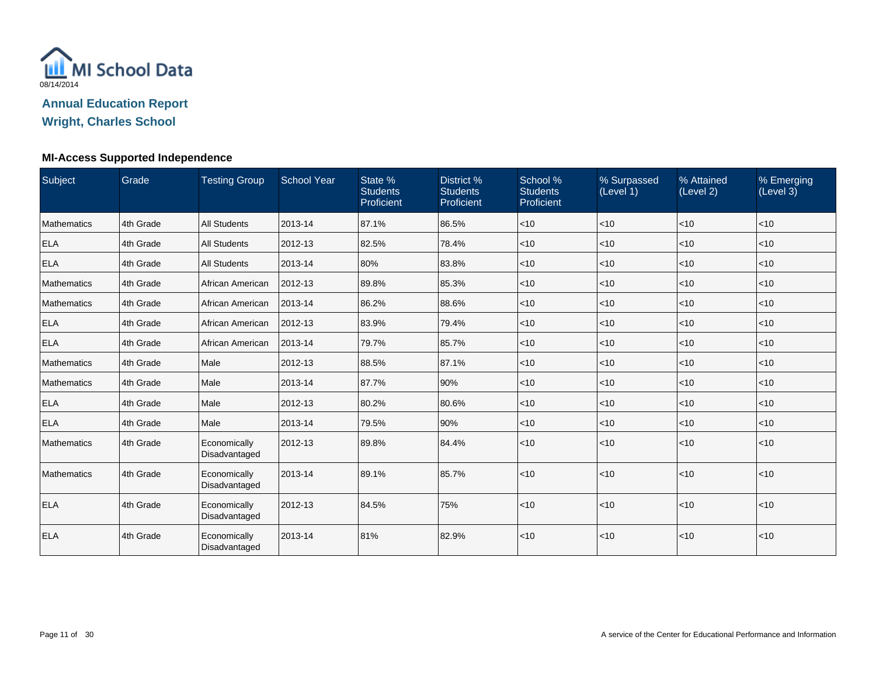

### **Wright, Charles School**

#### **MI-Access Supported Independence**

| Subject            | <b>Grade</b> | <b>Testing Group</b>          | <b>School Year</b> | State %<br><b>Students</b><br>Proficient | District %<br><b>Students</b><br>Proficient | School %<br><b>Students</b><br>Proficient | % Surpassed<br>(Level 1) | % Attained<br>(Level 2) | % Emerging<br>(Level 3) |
|--------------------|--------------|-------------------------------|--------------------|------------------------------------------|---------------------------------------------|-------------------------------------------|--------------------------|-------------------------|-------------------------|
| <b>Mathematics</b> | 4th Grade    | <b>All Students</b>           | 2013-14            | 87.1%                                    | 86.5%                                       | $ $ < 10                                  | <10                      | < 10                    | < 10                    |
| <b>ELA</b>         | 4th Grade    | <b>All Students</b>           | 2012-13            | 82.5%                                    | 78.4%                                       | $\vert$ < 10                              | $<$ 10                   | < 10                    | < 10                    |
| <b>ELA</b>         | 4th Grade    | <b>All Students</b>           | 2013-14            | 80%                                      | 83.8%                                       | $\leq 10$                                 | $<$ 10                   | < 10                    | < 10                    |
| <b>Mathematics</b> | 4th Grade    | African American              | 2012-13            | 89.8%                                    | 85.3%                                       | $\vert$ < 10                              | <10                      | < 10                    | $<$ 10                  |
| <b>Mathematics</b> | 4th Grade    | African American              | 2013-14            | 86.2%                                    | 88.6%                                       | $ $ < 10                                  | < 10                     | $<$ 10                  | < 10                    |
| <b>ELA</b>         | 4th Grade    | African American              | 2012-13            | 83.9%                                    | 79.4%                                       | $ $ < 10                                  | <10                      | $<$ 10                  | < 10                    |
| <b>ELA</b>         | 4th Grade    | African American              | 2013-14            | 79.7%                                    | 85.7%                                       | $ $ < 10                                  | <10                      | < 10                    | $<$ 10                  |
| <b>Mathematics</b> | 4th Grade    | Male                          | 2012-13            | 88.5%                                    | 87.1%                                       | $ $ < 10                                  | <10                      | < 10                    | $<$ 10                  |
| <b>Mathematics</b> | 4th Grade    | Male                          | 2013-14            | 87.7%                                    | 90%                                         | $ $ < 10                                  | <10                      | < 10                    | $<$ 10                  |
| <b>ELA</b>         | 4th Grade    | Male                          | 2012-13            | 80.2%                                    | 80.6%                                       | < 10                                      | <10                      | < 10                    | $<$ 10                  |
| <b>ELA</b>         | 4th Grade    | Male                          | 2013-14            | 79.5%                                    | 90%                                         | $<$ 10                                    | <10                      | < 10                    | $<$ 10                  |
| <b>Mathematics</b> | 4th Grade    | Economically<br>Disadvantaged | 2012-13            | 89.8%                                    | 84.4%                                       | $ $ < 10                                  | <10                      | < 10                    | $<$ 10                  |
| <b>Mathematics</b> | 4th Grade    | Economically<br>Disadvantaged | 2013-14            | 89.1%                                    | 85.7%                                       | $ $ < 10                                  | < 10                     | < 10                    | < 10                    |
| <b>ELA</b>         | 4th Grade    | Economically<br>Disadvantaged | 2012-13            | 84.5%                                    | 75%                                         | $ $ < 10                                  | < 10                     | < 10                    | < 10                    |
| <b>ELA</b>         | 4th Grade    | Economically<br>Disadvantaged | 2013-14            | 81%                                      | 82.9%                                       | < 10                                      | <10                      | < 10                    | $<$ 10                  |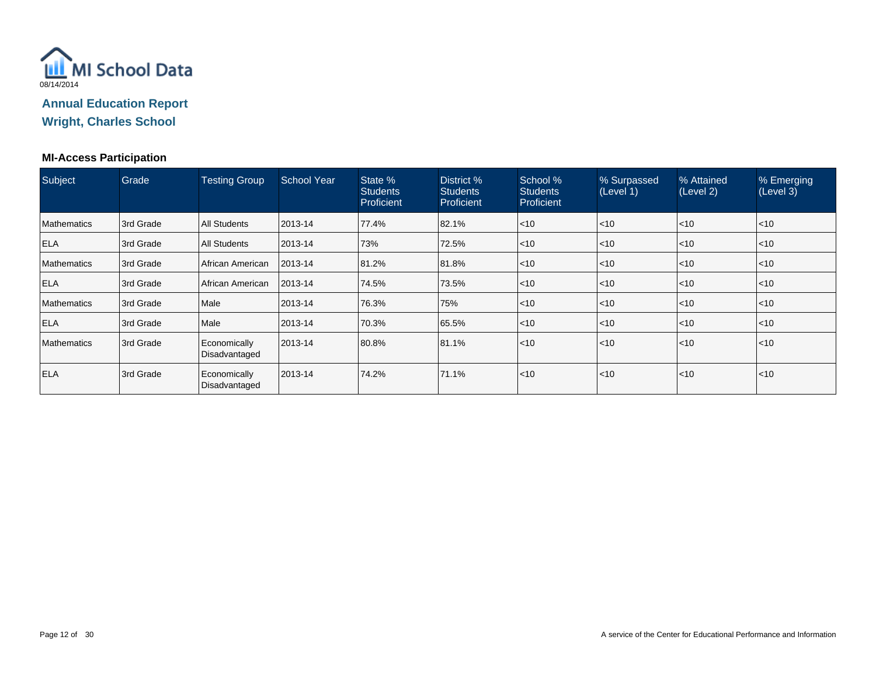

**Wright, Charles School**

#### **MI-Access Participation**

| Subject            | Grade      | <b>Testing Group</b>          | <b>School Year</b> | State %<br><b>Students</b><br>Proficient | District %<br><b>Students</b><br>Proficient | School %<br><b>Students</b><br>Proficient | % Surpassed<br>(Level 1) | % Attained<br>(Level 2) | % Emerging<br>(Level 3) |
|--------------------|------------|-------------------------------|--------------------|------------------------------------------|---------------------------------------------|-------------------------------------------|--------------------------|-------------------------|-------------------------|
| <b>Mathematics</b> | 3rd Grade  | <b>All Students</b>           | 2013-14            | 77.4%                                    | 82.1%                                       | < 10                                      | $\leq 10$                | l<10                    | $ $ < 10                |
| <b>ELA</b>         | 3rd Grade  | All Students                  | 2013-14            | 73%                                      | 72.5%                                       | $<$ 10                                    | $ $ < 10                 | $ $ < 10                | < 10                    |
| <b>Mathematics</b> | 3rd Grade  | African American              | 2013-14            | 81.2%                                    | 81.8%                                       | $<$ 10                                    | $\leq 10$                | l<10                    | $\leq 10$               |
| <b>ELA</b>         | l3rd Grade | l African American            | 2013-14            | 74.5%                                    | 73.5%                                       | < 10                                      | $ $ < 10                 | l<10                    | $ $ < 10                |
| <b>Mathematics</b> | 3rd Grade  | Male                          | 2013-14            | 76.3%                                    | 75%                                         | < 10                                      | $\leq 10$                | $ $ < 10                | < 10                    |
| <b>ELA</b>         | 3rd Grade  | Male                          | 2013-14            | 70.3%                                    | 65.5%                                       | < 10                                      | $\leq 10$                | < 10                    | < 10                    |
| <b>Mathematics</b> | 3rd Grade  | Economically<br>Disadvantaged | 2013-14            | 80.8%                                    | 81.1%                                       | < 10                                      | $ $ < 10                 | l<10                    | < 10                    |
| <b>ELA</b>         | l3rd Grade | Economically<br>Disadvantaged | 2013-14            | 74.2%                                    | 71.1%                                       | < 10                                      | $\leq 10$                | l<10                    | $\leq 10$               |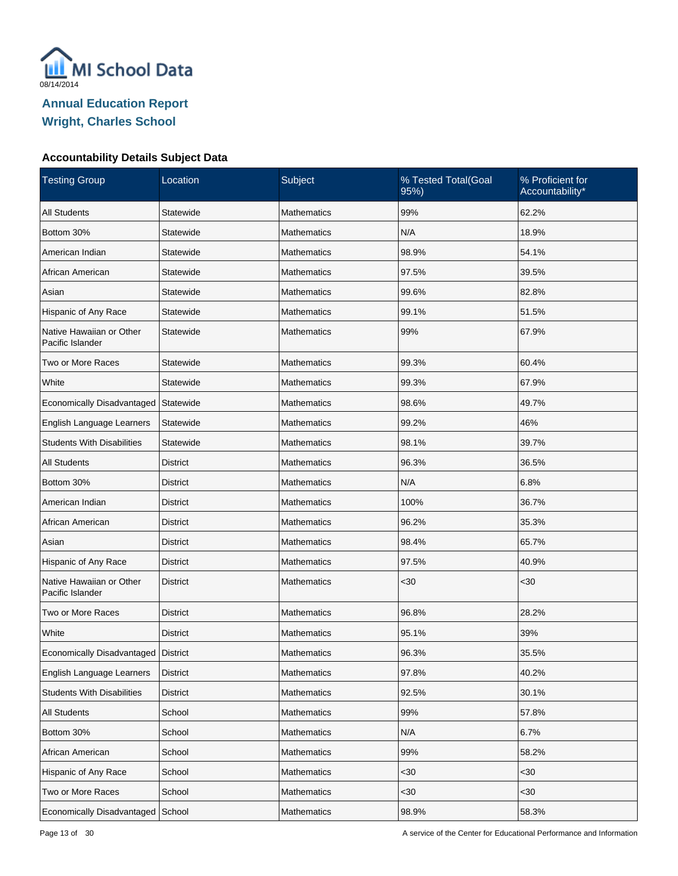

| <b>Testing Group</b>                         | Location        | Subject            | % Tested Total(Goal<br>95%) | % Proficient for<br>Accountability* |
|----------------------------------------------|-----------------|--------------------|-----------------------------|-------------------------------------|
| <b>All Students</b>                          | Statewide       | <b>Mathematics</b> | 99%                         | 62.2%                               |
| Bottom 30%                                   | Statewide       | <b>Mathematics</b> | N/A                         | 18.9%                               |
| American Indian                              | Statewide       | Mathematics        | 98.9%                       | 54.1%                               |
| African American                             | Statewide       | Mathematics        | 97.5%                       | 39.5%                               |
| Asian                                        | Statewide       | Mathematics        | 99.6%                       | 82.8%                               |
| Hispanic of Any Race                         | Statewide       | Mathematics        | 99.1%                       | 51.5%                               |
| Native Hawaiian or Other<br>Pacific Islander | Statewide       | Mathematics        | 99%                         | 67.9%                               |
| Two or More Races                            | Statewide       | <b>Mathematics</b> | 99.3%                       | 60.4%                               |
| White                                        | Statewide       | <b>Mathematics</b> | 99.3%                       | 67.9%                               |
| Economically Disadvantaged                   | Statewide       | <b>Mathematics</b> | 98.6%                       | 49.7%                               |
| English Language Learners                    | Statewide       | <b>Mathematics</b> | 99.2%                       | 46%                                 |
| <b>Students With Disabilities</b>            | Statewide       | <b>Mathematics</b> | 98.1%                       | 39.7%                               |
| <b>All Students</b>                          | <b>District</b> | <b>Mathematics</b> | 96.3%                       | 36.5%                               |
| Bottom 30%                                   | <b>District</b> | <b>Mathematics</b> | N/A                         | 6.8%                                |
| American Indian                              | <b>District</b> | <b>Mathematics</b> | 100%                        | 36.7%                               |
| African American                             | <b>District</b> | <b>Mathematics</b> | 96.2%                       | 35.3%                               |
| Asian                                        | <b>District</b> | <b>Mathematics</b> | 98.4%                       | 65.7%                               |
| Hispanic of Any Race                         | <b>District</b> | <b>Mathematics</b> | 97.5%                       | 40.9%                               |
| Native Hawaiian or Other<br>Pacific Islander | <b>District</b> | <b>Mathematics</b> | <30                         | $30$                                |
| Two or More Races                            | <b>District</b> | <b>Mathematics</b> | 96.8%                       | 28.2%                               |
| White                                        | <b>District</b> | Mathematics        | 95.1%                       | 39%                                 |
| Economically Disadvantaged                   | District        | <b>Mathematics</b> | 96.3%                       | 35.5%                               |
| English Language Learners                    | <b>District</b> | Mathematics        | 97.8%                       | 40.2%                               |
| <b>Students With Disabilities</b>            | <b>District</b> | Mathematics        | 92.5%                       | 30.1%                               |
| All Students                                 | School          | Mathematics        | 99%                         | 57.8%                               |
| Bottom 30%                                   | School          | Mathematics        | N/A                         | 6.7%                                |
| African American                             | School          | Mathematics        | 99%                         | 58.2%                               |
| Hispanic of Any Race                         | School          | Mathematics        | $30$                        | <30                                 |
| Two or More Races                            | School          | Mathematics        | $30$                        | $30$                                |
| Economically Disadvantaged                   | School          | Mathematics        | 98.9%                       | 58.3%                               |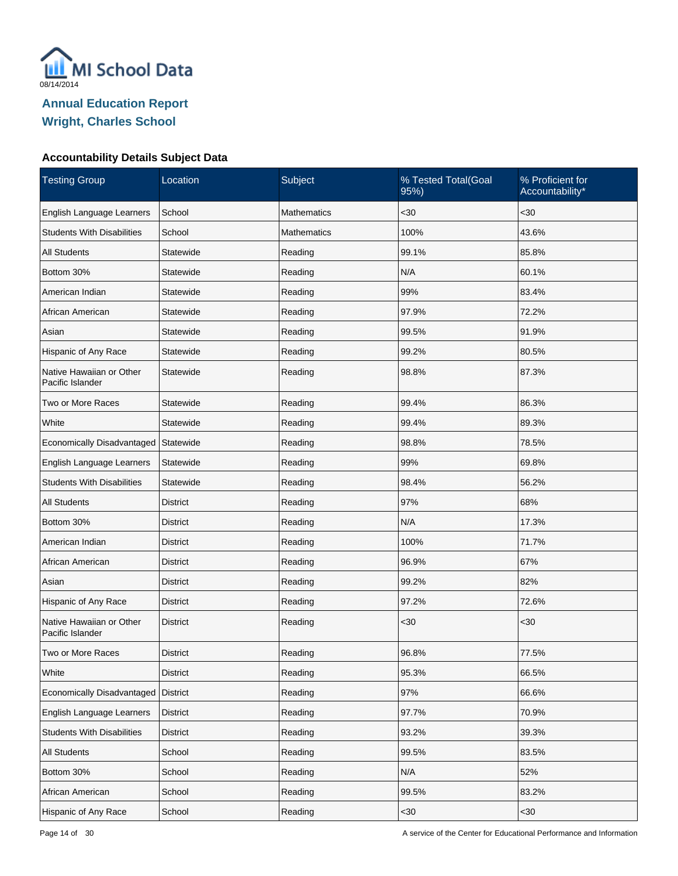

| <b>Testing Group</b>                         | Location        | Subject            | % Tested Total(Goal<br>95%) | % Proficient for<br>Accountability* |
|----------------------------------------------|-----------------|--------------------|-----------------------------|-------------------------------------|
| English Language Learners                    | School          | <b>Mathematics</b> | $30$                        | <30                                 |
| <b>Students With Disabilities</b>            | School          | <b>Mathematics</b> | 100%                        | 43.6%                               |
| <b>All Students</b>                          | Statewide       | Reading            | 99.1%                       | 85.8%                               |
| Bottom 30%                                   | Statewide       | Reading            | N/A                         | 60.1%                               |
| American Indian                              | Statewide       | Reading            | 99%                         | 83.4%                               |
| African American                             | Statewide       | Reading            | 97.9%                       | 72.2%                               |
| Asian                                        | Statewide       | Reading            | 99.5%                       | 91.9%                               |
| Hispanic of Any Race                         | Statewide       | Reading            | 99.2%                       | 80.5%                               |
| Native Hawaiian or Other<br>Pacific Islander | Statewide       | Reading            | 98.8%                       | 87.3%                               |
| Two or More Races                            | Statewide       | Reading            | 99.4%                       | 86.3%                               |
| White                                        | Statewide       | Reading            | 99.4%                       | 89.3%                               |
| Economically Disadvantaged                   | Statewide       | Reading            | 98.8%                       | 78.5%                               |
| English Language Learners                    | Statewide       | Reading            | 99%                         | 69.8%                               |
| <b>Students With Disabilities</b>            | Statewide       | Reading            | 98.4%                       | 56.2%                               |
| <b>All Students</b>                          | District        | Reading            | 97%                         | 68%                                 |
| Bottom 30%                                   | <b>District</b> | Reading            | N/A                         | 17.3%                               |
| American Indian                              | <b>District</b> | Reading            | 100%                        | 71.7%                               |
| African American                             | District        | Reading            | 96.9%                       | 67%                                 |
| Asian                                        | District        | Reading            | 99.2%                       | 82%                                 |
| Hispanic of Any Race                         | <b>District</b> | Reading            | 97.2%                       | 72.6%                               |
| Native Hawaiian or Other<br>Pacific Islander | <b>District</b> | Reading            | $30$                        | <30                                 |
| Two or More Races                            | <b>District</b> | Reading            | 96.8%                       | 77.5%                               |
| White                                        | <b>District</b> | Reading            | 95.3%                       | 66.5%                               |
| Economically Disadvantaged                   | <b>District</b> | Reading            | 97%                         | 66.6%                               |
| English Language Learners                    | <b>District</b> | Reading            | 97.7%                       | 70.9%                               |
| <b>Students With Disabilities</b>            | <b>District</b> | Reading            | 93.2%                       | 39.3%                               |
| All Students                                 | School          | Reading            | 99.5%                       | 83.5%                               |
| Bottom 30%                                   | School          | Reading            | N/A                         | 52%                                 |
| African American                             | School          | Reading            | 99.5%                       | 83.2%                               |
| Hispanic of Any Race                         | School          | Reading            | $30$                        | $30$                                |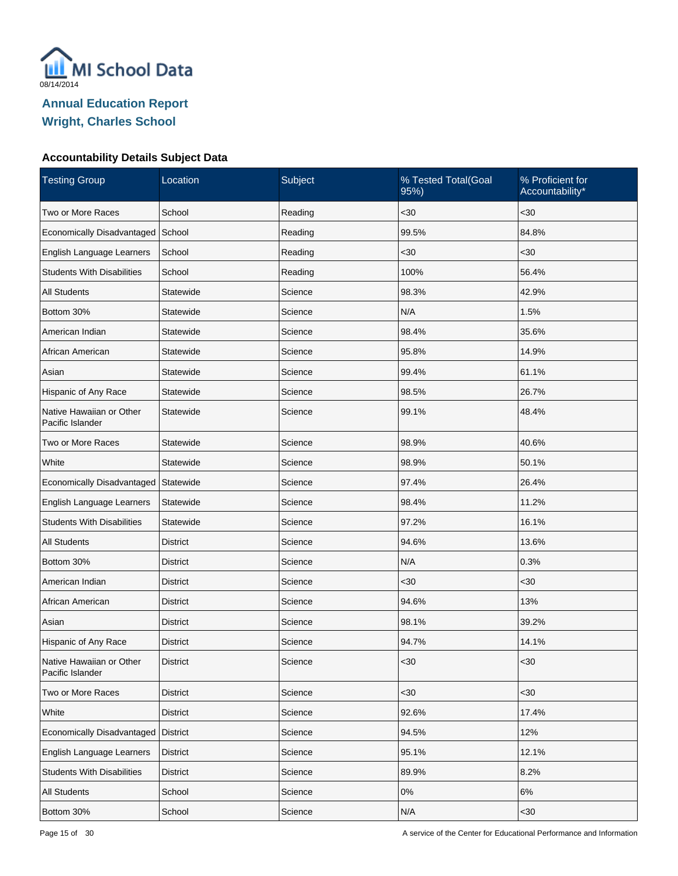

| <b>Testing Group</b>                         | Location        | Subject | % Tested Total(Goal<br>95%) | % Proficient for<br>Accountability* |
|----------------------------------------------|-----------------|---------|-----------------------------|-------------------------------------|
| Two or More Races                            | School          | Reading | $30$                        | <30                                 |
| Economically Disadvantaged                   | School          | Reading | 99.5%                       | 84.8%                               |
| English Language Learners                    | School          | Reading | $30$                        | $30$                                |
| <b>Students With Disabilities</b>            | School          | Reading | 100%                        | 56.4%                               |
| <b>All Students</b>                          | Statewide       | Science | 98.3%                       | 42.9%                               |
| Bottom 30%                                   | Statewide       | Science | N/A                         | 1.5%                                |
| American Indian                              | Statewide       | Science | 98.4%                       | 35.6%                               |
| African American                             | Statewide       | Science | 95.8%                       | 14.9%                               |
| Asian                                        | Statewide       | Science | 99.4%                       | 61.1%                               |
| Hispanic of Any Race                         | Statewide       | Science | 98.5%                       | 26.7%                               |
| Native Hawaiian or Other<br>Pacific Islander | Statewide       | Science | 99.1%                       | 48.4%                               |
| Two or More Races                            | Statewide       | Science | 98.9%                       | 40.6%                               |
| White                                        | Statewide       | Science | 98.9%                       | 50.1%                               |
| Economically Disadvantaged                   | Statewide       | Science | 97.4%                       | 26.4%                               |
| English Language Learners                    | Statewide       | Science | 98.4%                       | 11.2%                               |
| <b>Students With Disabilities</b>            | Statewide       | Science | 97.2%                       | 16.1%                               |
| <b>All Students</b>                          | <b>District</b> | Science | 94.6%                       | 13.6%                               |
| Bottom 30%                                   | <b>District</b> | Science | N/A                         | 0.3%                                |
| American Indian                              | <b>District</b> | Science | $30$                        | <30                                 |
| African American                             | <b>District</b> | Science | 94.6%                       | 13%                                 |
| Asian                                        | <b>District</b> | Science | 98.1%                       | 39.2%                               |
| Hispanic of Any Race                         | <b>District</b> | Science | 94.7%                       | 14.1%                               |
| Native Hawaiian or Other<br>Pacific Islander | <b>District</b> | Science | <30                         | $30$                                |
| Two or More Races                            | <b>District</b> | Science | $30$                        | <30                                 |
| White                                        | <b>District</b> | Science | 92.6%                       | 17.4%                               |
| Economically Disadvantaged                   | District        | Science | 94.5%                       | 12%                                 |
| English Language Learners                    | <b>District</b> | Science | 95.1%                       | 12.1%                               |
| <b>Students With Disabilities</b>            | <b>District</b> | Science | 89.9%                       | 8.2%                                |
| All Students                                 | School          | Science | $0\%$                       | $6\%$                               |
| Bottom 30%                                   | School          | Science | N/A                         | $30$                                |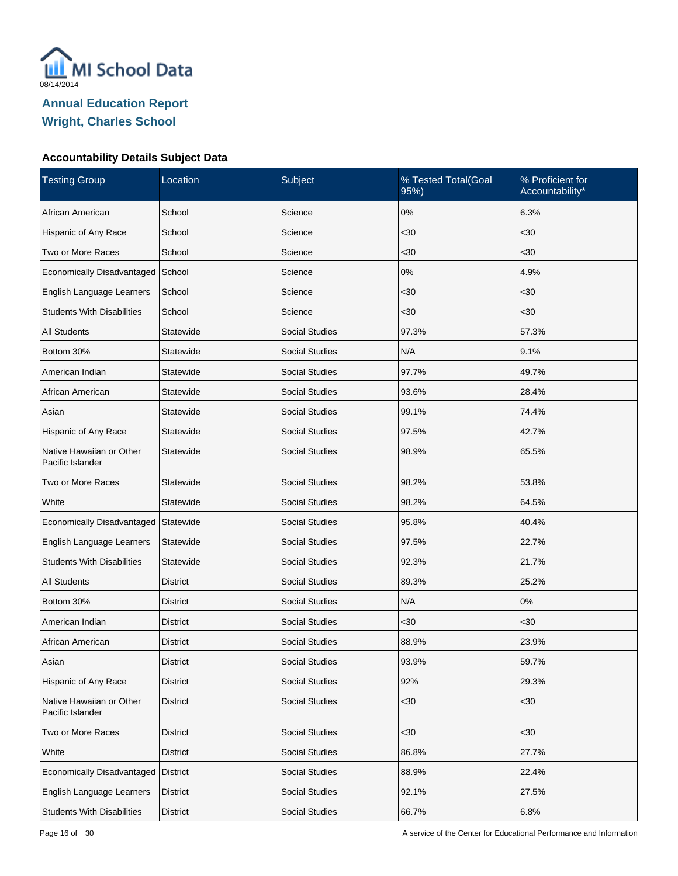

| <b>Testing Group</b>                         | Location         | Subject               | % Tested Total(Goal<br>95%) | % Proficient for<br>Accountability* |
|----------------------------------------------|------------------|-----------------------|-----------------------------|-------------------------------------|
| African American                             | School           | Science               | 0%                          | 6.3%                                |
| Hispanic of Any Race                         | School           | Science               | $30$                        | $30$                                |
| Two or More Races                            | School           | Science               | $30$                        | <30                                 |
| Economically Disadvantaged                   | School           | Science               | 0%                          | 4.9%                                |
| English Language Learners                    | School           | Science               | $30$                        | $30$                                |
| <b>Students With Disabilities</b>            | School           | Science               | $30$                        | $30$                                |
| <b>All Students</b>                          | Statewide        | <b>Social Studies</b> | 97.3%                       | 57.3%                               |
| Bottom 30%                                   | <b>Statewide</b> | <b>Social Studies</b> | N/A                         | 9.1%                                |
| American Indian                              | Statewide        | <b>Social Studies</b> | 97.7%                       | 49.7%                               |
| African American                             | Statewide        | <b>Social Studies</b> | 93.6%                       | 28.4%                               |
| Asian                                        | Statewide        | <b>Social Studies</b> | 99.1%                       | 74.4%                               |
| Hispanic of Any Race                         | Statewide        | <b>Social Studies</b> | 97.5%                       | 42.7%                               |
| Native Hawaiian or Other<br>Pacific Islander | Statewide        | <b>Social Studies</b> | 98.9%                       | 65.5%                               |
| Two or More Races                            | Statewide        | <b>Social Studies</b> | 98.2%                       | 53.8%                               |
| White                                        | Statewide        | <b>Social Studies</b> | 98.2%                       | 64.5%                               |
| Economically Disadvantaged                   | Statewide        | <b>Social Studies</b> | 95.8%                       | 40.4%                               |
| English Language Learners                    | Statewide        | <b>Social Studies</b> | 97.5%                       | 22.7%                               |
| <b>Students With Disabilities</b>            | Statewide        | <b>Social Studies</b> | 92.3%                       | 21.7%                               |
| <b>All Students</b>                          | <b>District</b>  | <b>Social Studies</b> | 89.3%                       | 25.2%                               |
| Bottom 30%                                   | District         | <b>Social Studies</b> | N/A                         | 0%                                  |
| American Indian                              | <b>District</b>  | <b>Social Studies</b> | $30$                        | <30                                 |
| African American                             | <b>District</b>  | <b>Social Studies</b> | 88.9%                       | 23.9%                               |
| Asian                                        | <b>District</b>  | <b>Social Studies</b> | 93.9%                       | 59.7%                               |
| Hispanic of Any Race                         | <b>District</b>  | Social Studies        | 92%                         | 29.3%                               |
| Native Hawaiian or Other<br>Pacific Islander | <b>District</b>  | <b>Social Studies</b> | $30$                        | $30$                                |
| Two or More Races                            | <b>District</b>  | Social Studies        | $30$                        | <30                                 |
| White                                        | <b>District</b>  | Social Studies        | 86.8%                       | 27.7%                               |
| Economically Disadvantaged                   | <b>District</b>  | Social Studies        | 88.9%                       | 22.4%                               |
| English Language Learners                    | <b>District</b>  | Social Studies        | 92.1%                       | 27.5%                               |
| <b>Students With Disabilities</b>            | <b>District</b>  | Social Studies        | 66.7%                       | 6.8%                                |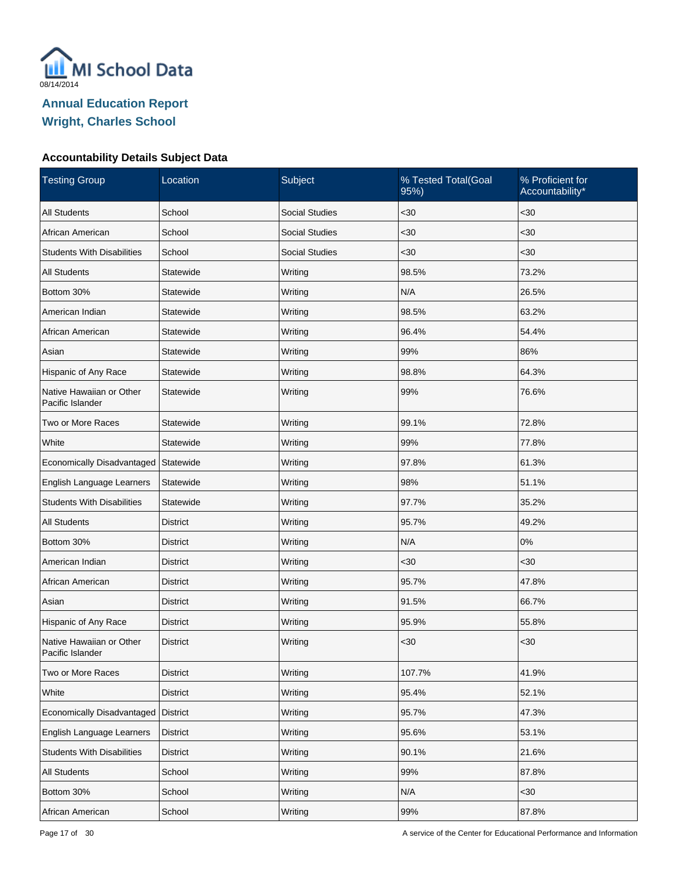

| <b>Testing Group</b>                         | Location        | Subject               | % Tested Total(Goal<br>95%) | % Proficient for<br>Accountability* |
|----------------------------------------------|-----------------|-----------------------|-----------------------------|-------------------------------------|
| <b>All Students</b>                          | School          | <b>Social Studies</b> | $30$                        | $<30$                               |
| African American                             | School          | <b>Social Studies</b> | $30$                        | $30$                                |
| <b>Students With Disabilities</b>            | School          | <b>Social Studies</b> | $30$                        | $30$                                |
| <b>All Students</b>                          | Statewide       | Writing               | 98.5%                       | 73.2%                               |
| Bottom 30%                                   | Statewide       | Writing               | N/A                         | 26.5%                               |
| American Indian                              | Statewide       | Writing               | 98.5%                       | 63.2%                               |
| African American                             | Statewide       | Writing               | 96.4%                       | 54.4%                               |
| Asian                                        | Statewide       | Writing               | 99%                         | 86%                                 |
| Hispanic of Any Race                         | Statewide       | Writing               | 98.8%                       | 64.3%                               |
| Native Hawaiian or Other<br>Pacific Islander | Statewide       | Writing               | 99%                         | 76.6%                               |
| Two or More Races                            | Statewide       | Writing               | 99.1%                       | 72.8%                               |
| White                                        | Statewide       | Writing               | 99%                         | 77.8%                               |
| Economically Disadvantaged                   | Statewide       | Writing               | 97.8%                       | 61.3%                               |
| English Language Learners                    | Statewide       | Writing               | 98%                         | 51.1%                               |
| <b>Students With Disabilities</b>            | Statewide       | Writing               | 97.7%                       | 35.2%                               |
| All Students                                 | District        | Writing               | 95.7%                       | 49.2%                               |
| Bottom 30%                                   | District        | Writing               | N/A                         | 0%                                  |
| American Indian                              | District        | Writing               | $30$                        | $30$                                |
| African American                             | District        | Writing               | 95.7%                       | 47.8%                               |
| Asian                                        | <b>District</b> | Writing               | 91.5%                       | 66.7%                               |
| Hispanic of Any Race                         | <b>District</b> | Writing               | 95.9%                       | 55.8%                               |
| Native Hawaiian or Other<br>Pacific Islander | <b>District</b> | Writing               | $30$                        | $30$                                |
| Two or More Races                            | <b>District</b> | Writing               | 107.7%                      | 41.9%                               |
| White                                        | <b>District</b> | Writing               | 95.4%                       | 52.1%                               |
| Economically Disadvantaged                   | District        | Writing               | 95.7%                       | 47.3%                               |
| English Language Learners                    | <b>District</b> | Writing               | 95.6%                       | 53.1%                               |
| <b>Students With Disabilities</b>            | <b>District</b> | Writing               | 90.1%                       | 21.6%                               |
| All Students                                 | School          | Writing               | 99%                         | 87.8%                               |
| Bottom 30%                                   | School          | Writing               | N/A                         | $30$                                |
| African American                             | School          | Writing               | 99%                         | 87.8%                               |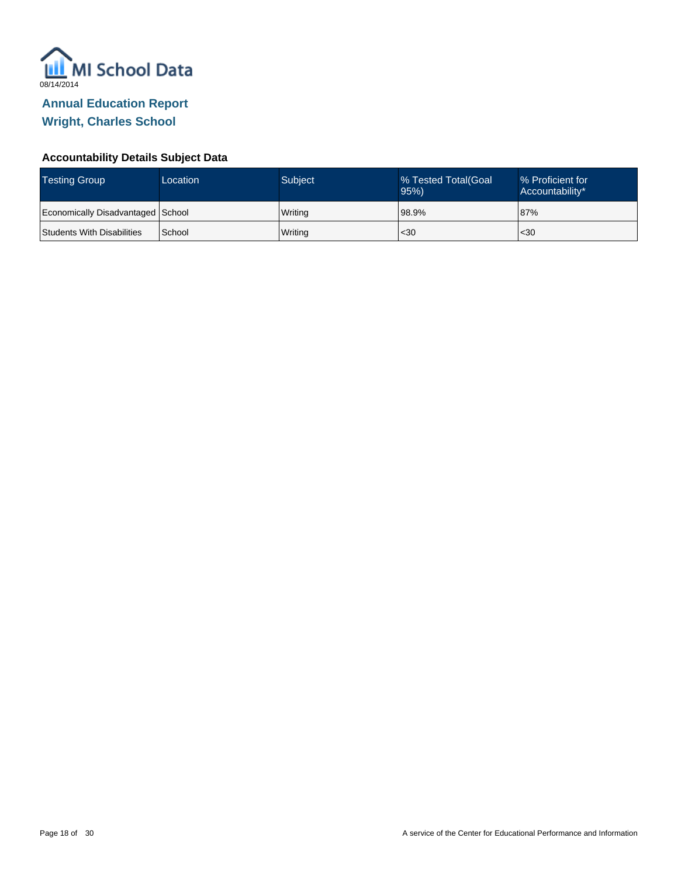

| <b>Testing Group</b>              | Location | <b>Subject</b> | % Tested Total(Goal<br>95% | ■% Proficient for<br>Accountability* |
|-----------------------------------|----------|----------------|----------------------------|--------------------------------------|
| Economically Disadvantaged School |          | Writing        | 98.9%                      | 87%                                  |
| Students With Disabilities        | School   | Writing        | $30$                       | $30$                                 |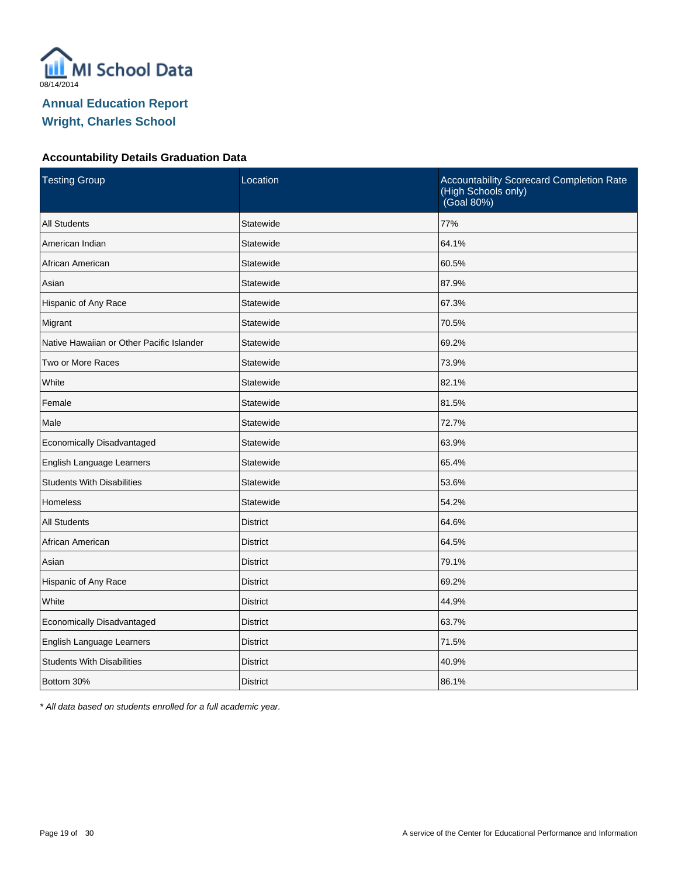

#### **Accountability Details Graduation Data**

| <b>Testing Group</b>                      | Location        | Accountability Scorecard Completion Rate<br>(High Schools only)<br>(Goal 80%) |
|-------------------------------------------|-----------------|-------------------------------------------------------------------------------|
| <b>All Students</b>                       | Statewide       | 77%                                                                           |
| American Indian                           | Statewide       | 64.1%                                                                         |
| African American                          | Statewide       | 60.5%                                                                         |
| Asian                                     | Statewide       | 87.9%                                                                         |
| Hispanic of Any Race                      | Statewide       | 67.3%                                                                         |
| Migrant                                   | Statewide       | 70.5%                                                                         |
| Native Hawaiian or Other Pacific Islander | Statewide       | 69.2%                                                                         |
| Two or More Races                         | Statewide       | 73.9%                                                                         |
| White                                     | Statewide       | 82.1%                                                                         |
| Female                                    | Statewide       | 81.5%                                                                         |
| Male                                      | Statewide       | 72.7%                                                                         |
| Economically Disadvantaged                | Statewide       | 63.9%                                                                         |
| English Language Learners                 | Statewide       | 65.4%                                                                         |
| <b>Students With Disabilities</b>         | Statewide       | 53.6%                                                                         |
| <b>Homeless</b>                           | Statewide       | 54.2%                                                                         |
| <b>All Students</b>                       | <b>District</b> | 64.6%                                                                         |
| African American                          | <b>District</b> | 64.5%                                                                         |
| Asian                                     | <b>District</b> | 79.1%                                                                         |
| Hispanic of Any Race                      | <b>District</b> | 69.2%                                                                         |
| White                                     | <b>District</b> | 44.9%                                                                         |
| Economically Disadvantaged                | <b>District</b> | 63.7%                                                                         |
| English Language Learners                 | <b>District</b> | 71.5%                                                                         |
| <b>Students With Disabilities</b>         | <b>District</b> | 40.9%                                                                         |
| Bottom 30%                                | <b>District</b> | 86.1%                                                                         |

\* All data based on students enrolled for a full academic year.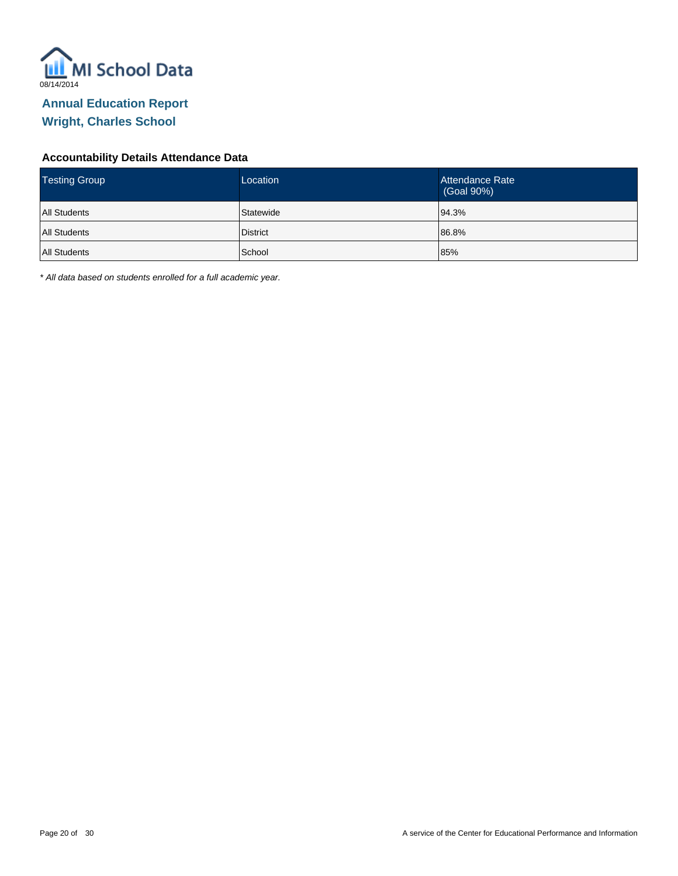

#### **Accountability Details Attendance Data**

| <b>Testing Group</b> | Location        | Attendance Rate<br>(Goal 90%) |
|----------------------|-----------------|-------------------------------|
| <b>All Students</b>  | Statewide       | 94.3%                         |
| <b>All Students</b>  | <b>District</b> | 86.8%                         |
| <b>All Students</b>  | School          | 85%                           |

\* All data based on students enrolled for a full academic year.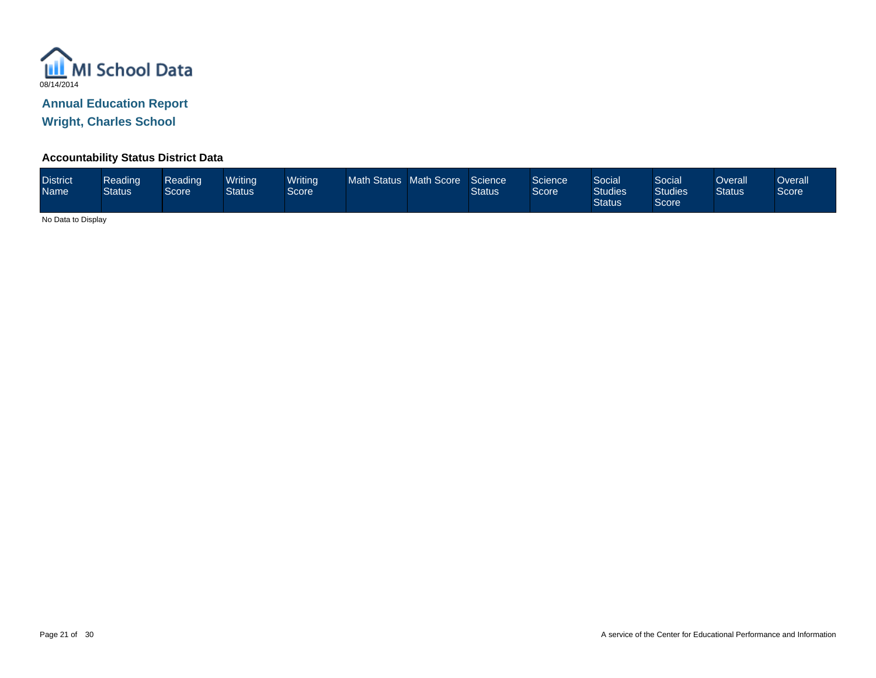

**Wright, Charles School**

#### **Accountability Status District Data**

| <b>District</b><br><b>Name</b> | Reading<br><b>Status</b> | Reading<br>Score <sup>1</sup> | Writina<br>Status | <b>Writing</b><br>Score | Math Status Math Score |  | Science<br><b>Status</b> | Science<br>Score <sup>1</sup> | Social<br><b>Studies</b><br><b>Status</b> | Social <sup>'</sup><br><b>Studies</b><br>Score | Overall<br><b>Status</b> | Dverall<br>Score |
|--------------------------------|--------------------------|-------------------------------|-------------------|-------------------------|------------------------|--|--------------------------|-------------------------------|-------------------------------------------|------------------------------------------------|--------------------------|------------------|
|--------------------------------|--------------------------|-------------------------------|-------------------|-------------------------|------------------------|--|--------------------------|-------------------------------|-------------------------------------------|------------------------------------------------|--------------------------|------------------|

No Data to Display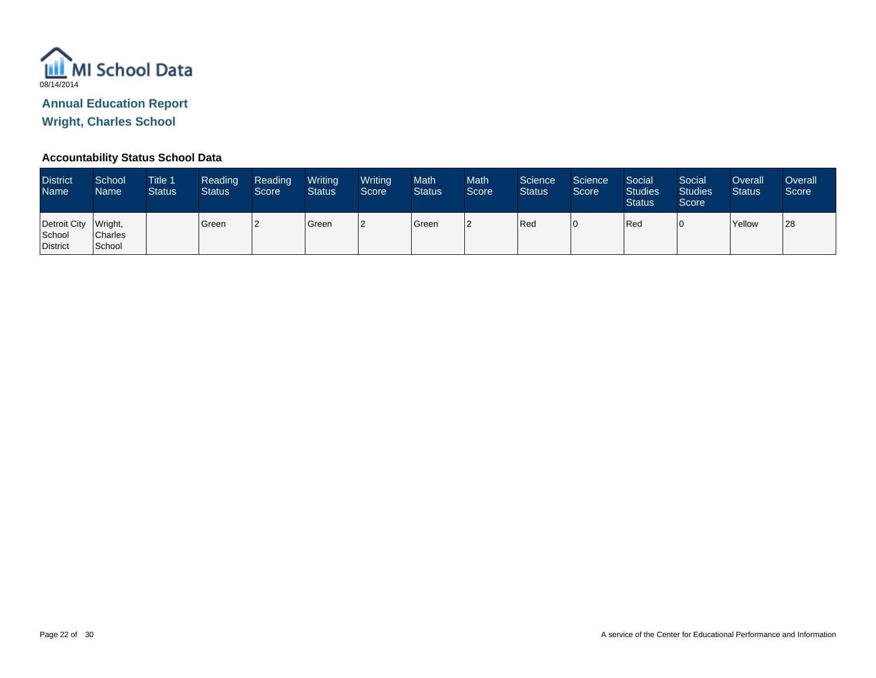

**Wright, Charles School**

#### **Accountability Status School Data**

| <b>District</b><br><b>Name</b>             | School<br>Name           | <b>Title 1</b><br><b>Status</b> | Reading<br><b>Status</b> | Reading<br>Score | Writing<br><b>Status</b> | Writing<br>Score | <b>Math</b><br><b>Status</b> | <b>Math</b><br>Score | Science<br><b>Status</b> | Science<br>Score | Social<br><b>Studies</b><br><b>Status</b> | Social<br><b>Studies</b><br>Score | Overall<br><b>Status</b> | Overall<br>Score |
|--------------------------------------------|--------------------------|---------------------------------|--------------------------|------------------|--------------------------|------------------|------------------------------|----------------------|--------------------------|------------------|-------------------------------------------|-----------------------------------|--------------------------|------------------|
| Detroit City Wright,<br>School<br>District | <b>Charles</b><br>School |                                 | Green                    |                  | Green                    |                  | Green                        | າ                    | Red                      |                  | Red                                       |                                   | Yellow                   | 28               |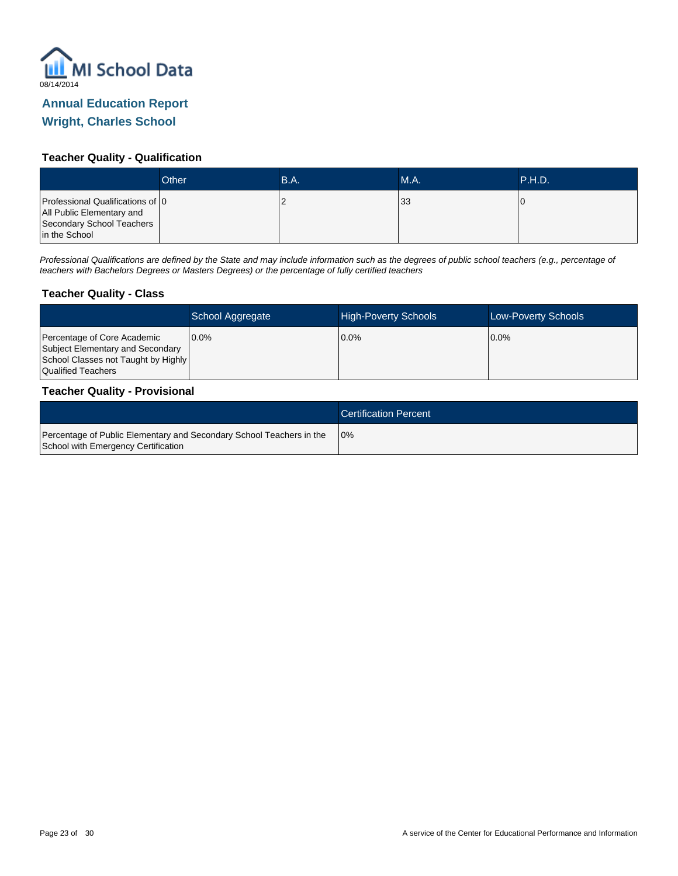

#### **Teacher Quality - Qualification**

|                                                                                                             | Other | B.A. | <b>M.A.</b> | .P.H.D.' |
|-------------------------------------------------------------------------------------------------------------|-------|------|-------------|----------|
| Professional Qualifications of 0<br>All Public Elementary and<br>Secondary School Teachers<br>in the School |       |      | 133         |          |

Professional Qualifications are defined by the State and may include information such as the degrees of public school teachers (e.g., percentage of teachers with Bachelors Degrees or Masters Degrees) or the percentage of fully certified teachers

#### **Teacher Quality - Class**

|                                                                                                                              | School Aggregate | <b>High-Poverty Schools</b> | <b>Low-Poverty Schools</b> |
|------------------------------------------------------------------------------------------------------------------------------|------------------|-----------------------------|----------------------------|
| Percentage of Core Academic<br>Subject Elementary and Secondary<br>School Classes not Taught by Highly<br>Qualified Teachers | 10.0%            | 0.0%                        | $0.0\%$                    |

#### **Teacher Quality - Provisional**

|                                                                                                             | <b>Certification Percent</b> |
|-------------------------------------------------------------------------------------------------------------|------------------------------|
| Percentage of Public Elementary and Secondary School Teachers in the<br>School with Emergency Certification | 10%                          |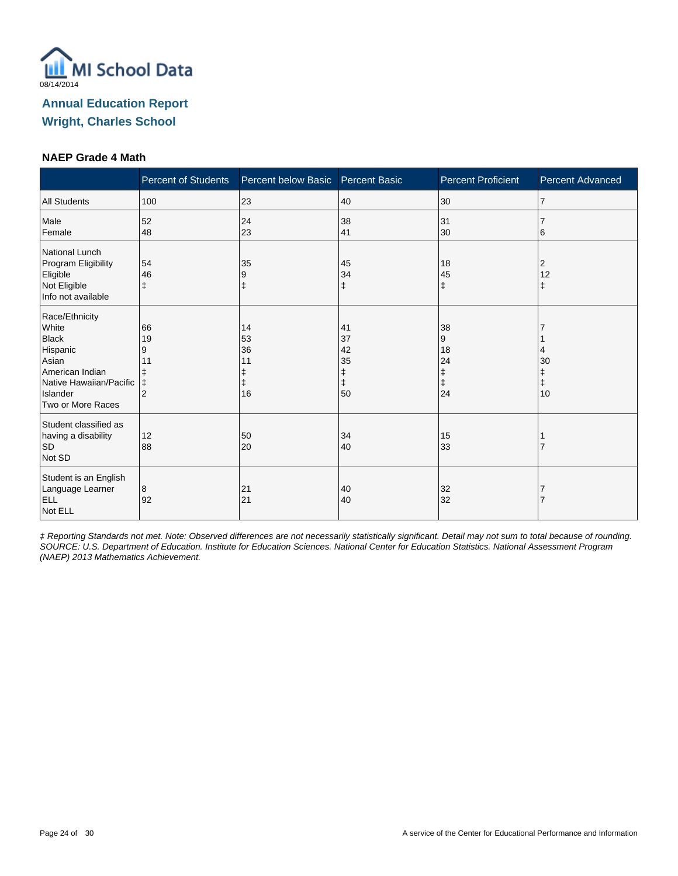

#### **NAEP Grade 4 Math**

|                                                                                                                                             | <b>Percent of Students</b>                               | Percent below Basic        | <b>Percent Basic</b>                          | <b>Percent Proficient</b>                    | Percent Advanced            |
|---------------------------------------------------------------------------------------------------------------------------------------------|----------------------------------------------------------|----------------------------|-----------------------------------------------|----------------------------------------------|-----------------------------|
| <b>All Students</b>                                                                                                                         | 100                                                      | 23                         | 40                                            | 30                                           | $\overline{7}$              |
| Male<br>Female                                                                                                                              | 52<br>48                                                 | 24<br>23                   | 38<br>41                                      | 31<br>30                                     | 6                           |
| National Lunch<br>Program Eligibility<br>Eligible<br>Not Eligible<br>Info not available                                                     | 54<br>46<br>$\ddagger$                                   | 35<br>9<br>ŧ               | 45<br>34<br>ŧ                                 | 18<br>45<br>$\ddagger$                       | 2<br>12<br>ŧ                |
| Race/Ethnicity<br>White<br><b>Black</b><br>Hispanic<br>Asian<br>American Indian<br>Native Hawaiian/Pacific<br>Islander<br>Two or More Races | 66<br>19<br>9<br>11<br>ŧ<br>$\ddagger$<br>$\overline{2}$ | 14<br>53<br>36<br>11<br>16 | 41<br>37<br>42<br>35<br>ŧ<br>$\ddagger$<br>50 | 38<br>9<br>18<br>24<br>ŧ<br>$\ddagger$<br>24 | 30<br>ŧ<br>$\ddagger$<br>10 |
| Student classified as<br>having a disability<br><b>SD</b><br>Not SD                                                                         | 12<br>88                                                 | 50<br>20                   | 34<br>40                                      | 15<br>33                                     |                             |
| Student is an English<br>Language Learner<br>ELL<br>Not ELL                                                                                 | 8<br>92                                                  | 21<br>21                   | 40<br>40                                      | 32<br>32                                     |                             |

‡ Reporting Standards not met. Note: Observed differences are not necessarily statistically significant. Detail may not sum to total because of rounding. SOURCE: U.S. Department of Education. Institute for Education Sciences. National Center for Education Statistics. National Assessment Program (NAEP) 2013 Mathematics Achievement.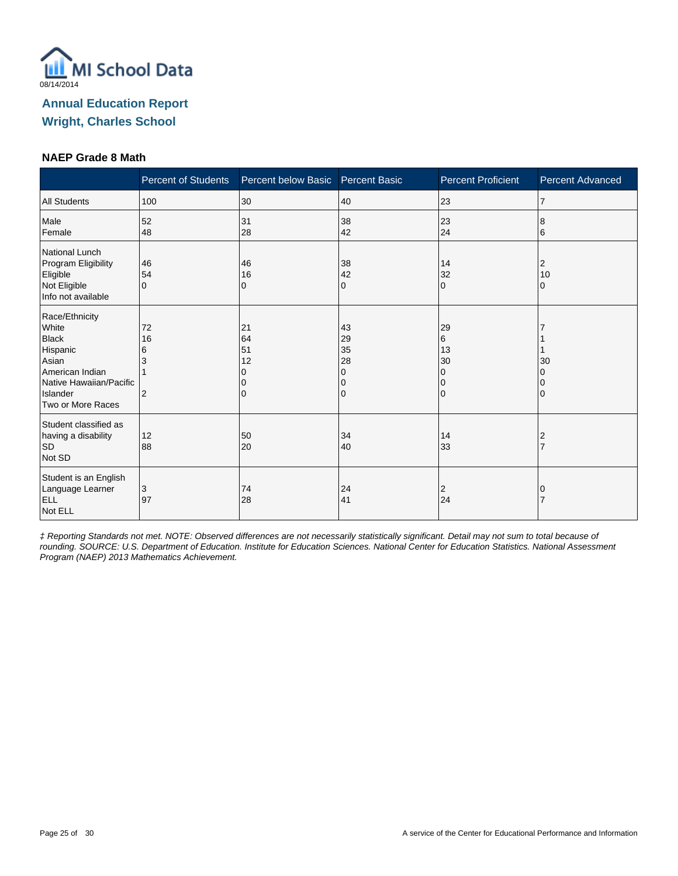

#### **NAEP Grade 8 Math**

|                                                                                                                                             | <b>Percent of Students</b> | Percent below Basic              | <b>Percent Basic</b>                | <b>Percent Proficient</b>                   | Percent Advanced |
|---------------------------------------------------------------------------------------------------------------------------------------------|----------------------------|----------------------------------|-------------------------------------|---------------------------------------------|------------------|
| <b>All Students</b>                                                                                                                         | 100                        | 30                               | 40                                  | 23                                          | $\overline{7}$   |
| Male<br>Female                                                                                                                              | 52<br>48                   | 31<br>28                         | 38<br>42                            | 23<br>24                                    | 8<br>6           |
| National Lunch<br>Program Eligibility<br>Eligible<br>Not Eligible<br>Info not available                                                     | 46<br>54<br>$\Omega$       | 46<br>16<br>0                    | 38<br>42<br>0                       | 14<br>32<br>$\Omega$                        | 2<br>10<br>0     |
| Race/Ethnicity<br>White<br><b>Black</b><br>Hispanic<br>Asian<br>American Indian<br>Native Hawaiian/Pacific<br>Islander<br>Two or More Races | 72<br>16<br>6<br>3<br>2    | 21<br>64<br>51<br>12<br>$\Omega$ | 43<br>29<br>35<br>28<br>0<br>0<br>0 | 29<br>6<br>13<br>30<br>$\Omega$<br>0<br>l O | 30<br>0          |
| Student classified as<br>having a disability<br><b>SD</b><br>Not SD                                                                         | 12<br>88                   | 50<br>20                         | 34<br>40                            | 14<br>33                                    | 2                |
| Student is an English<br>Language Learner<br>ELL<br>Not ELL                                                                                 | 3<br>97                    | 74<br>28                         | 24<br>41                            | $\overline{2}$<br>24                        | 0                |

‡ Reporting Standards not met. NOTE: Observed differences are not necessarily statistically significant. Detail may not sum to total because of rounding. SOURCE: U.S. Department of Education. Institute for Education Sciences. National Center for Education Statistics. National Assessment Program (NAEP) 2013 Mathematics Achievement.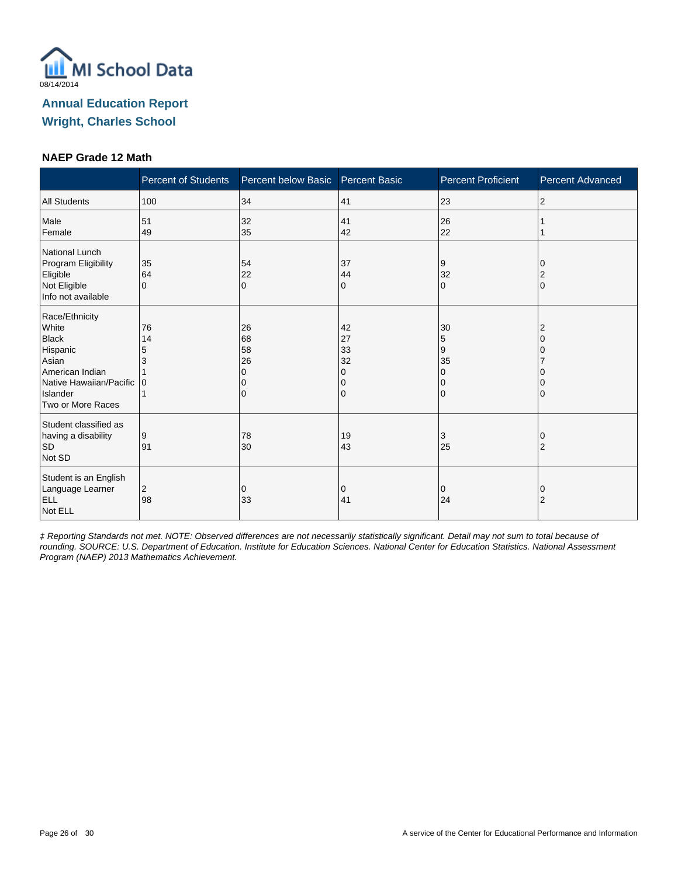

#### **NAEP Grade 12 Math**

|                                                                                                                                             | <b>Percent of Students</b> | Percent below Basic Percent Basic |                                     | <b>Percent Proficient</b>      | <b>Percent Advanced</b> |
|---------------------------------------------------------------------------------------------------------------------------------------------|----------------------------|-----------------------------------|-------------------------------------|--------------------------------|-------------------------|
| <b>All Students</b>                                                                                                                         | 100                        | 34                                | 41                                  | 23                             | $\overline{2}$          |
| Male<br>Female                                                                                                                              | 51<br>49                   | 32<br>35                          | 41<br>42                            | 26<br>22                       |                         |
| National Lunch<br>Program Eligibility<br>Eligible<br>Not Eligible<br>Info not available                                                     | 35<br>64<br>$\Omega$       | 54<br>22<br>$\Omega$              | 37<br>44<br>0                       | 9<br>32<br>$\Omega$            | $\Omega$                |
| Race/Ethnicity<br>White<br><b>Black</b><br>Hispanic<br>Asian<br>American Indian<br>Native Hawaiian/Pacific<br>Islander<br>Two or More Races | 76<br>14<br>5<br>3<br>0    | 26<br>68<br>58<br>26<br>0         | 42<br>27<br>33<br>32<br>O<br>O<br>0 | 30<br>5<br>9<br>35<br>$\Omega$ |                         |
| Student classified as<br>having a disability<br><b>SD</b><br>Not SD                                                                         | 9<br>91                    | 78<br>30                          | 19<br>43                            | 3<br>25                        | 2                       |
| Student is an English<br>Language Learner<br><b>ELL</b><br>Not ELL                                                                          | 2<br>98                    | 0<br>33                           | 0<br>41                             | 0<br>24                        | O<br>$\overline{2}$     |

‡ Reporting Standards not met. NOTE: Observed differences are not necessarily statistically significant. Detail may not sum to total because of rounding. SOURCE: U.S. Department of Education. Institute for Education Sciences. National Center for Education Statistics. National Assessment Program (NAEP) 2013 Mathematics Achievement.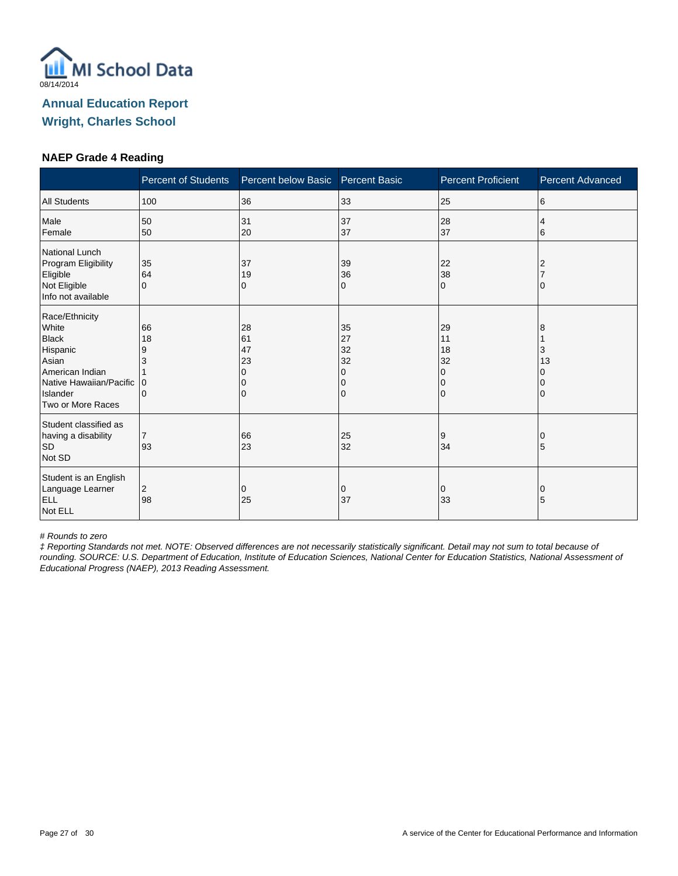

#### **NAEP Grade 4 Reading**

|                                                                                                                                             | <b>Percent of Students</b>          | Percent below Basic            | <b>Percent Basic</b>                | <b>Percent Proficient</b>             | Percent Advanced  |
|---------------------------------------------------------------------------------------------------------------------------------------------|-------------------------------------|--------------------------------|-------------------------------------|---------------------------------------|-------------------|
| <b>All Students</b>                                                                                                                         | 100                                 | 36                             | 33                                  | 25                                    | 6                 |
| Male<br>Female                                                                                                                              | 50<br>50                            | 31<br>20                       | 37<br>37                            | 28<br>37                              | 4<br>6            |
| National Lunch<br>Program Eligibility<br>Eligible<br>Not Eligible<br>Info not available                                                     | 35<br>64<br>$\Omega$                | 37<br>19<br>0                  | 39<br>36<br>0                       | 22<br>38<br>$\Omega$                  | 2                 |
| Race/Ethnicity<br>White<br><b>Black</b><br>Hispanic<br>Asian<br>American Indian<br>Native Hawaiian/Pacific<br>Islander<br>Two or More Races | 66<br>18<br>9<br>3<br>0<br>$\Omega$ | 28<br>61<br>47<br>23<br>n<br>0 | 35<br>27<br>32<br>32<br>0<br>0<br>0 | 29<br>11<br>18<br>32<br>0<br>$\Omega$ | 8<br>3<br>13<br>0 |
| Student classified as<br>having a disability<br><b>SD</b><br>Not SD                                                                         | $\overline{7}$<br>93                | 66<br>23                       | 25<br>32                            | 9<br>34                               | 5                 |
| Student is an English<br>Language Learner<br><b>ELL</b><br>Not ELL                                                                          | 2<br>98                             | 0<br>25                        | 0<br>37                             | 0<br>33                               | 0<br>5            |

# Rounds to zero

‡ Reporting Standards not met. NOTE: Observed differences are not necessarily statistically significant. Detail may not sum to total because of rounding. SOURCE: U.S. Department of Education, Institute of Education Sciences, National Center for Education Statistics, National Assessment of Educational Progress (NAEP), 2013 Reading Assessment.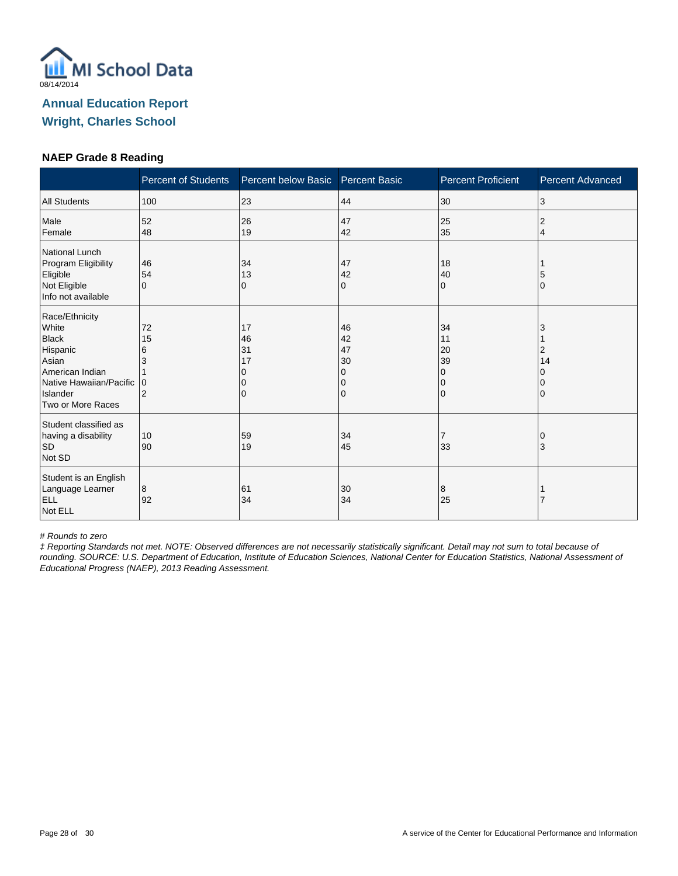

#### **NAEP Grade 8 Reading**

|                                                                                                                                             | <b>Percent of Students</b>          | Percent below Basic       | <b>Percent Basic</b>                | <b>Percent Proficient</b>                                   | Percent Advanced |
|---------------------------------------------------------------------------------------------------------------------------------------------|-------------------------------------|---------------------------|-------------------------------------|-------------------------------------------------------------|------------------|
| <b>All Students</b>                                                                                                                         | 100                                 | 23                        | 44                                  | 30                                                          | 3                |
| Male<br>Female                                                                                                                              | 52<br>48                            | 26<br>19                  | 47<br>42                            | 25<br>35                                                    | 2<br>4           |
| National Lunch<br>Program Eligibility<br>Eligible<br>Not Eligible<br>Info not available                                                     | 46<br>54<br>$\Omega$                | 34<br>13<br>0             | 47<br>42<br>0                       | 18<br>40<br>$\Omega$                                        | 5<br>O           |
| Race/Ethnicity<br>White<br><b>Black</b><br>Hispanic<br>Asian<br>American Indian<br>Native Hawaiian/Pacific<br>Islander<br>Two or More Races | 72<br>15<br>6<br>3<br>$\Omega$<br>2 | 17<br>46<br>31<br>17<br>0 | 46<br>42<br>47<br>30<br>0<br>0<br>0 | 34<br>11<br>20<br>39<br>$\Omega$<br>$\Omega$<br>$\mathbf 0$ | 2<br>14          |
| Student classified as<br>having a disability<br><b>SD</b><br>Not SD                                                                         | 10<br>90                            | 59<br>19                  | 34<br>45                            | 7<br>33                                                     | 3                |
| Student is an English<br>Language Learner<br>ELL<br>Not ELL                                                                                 | 8<br>92                             | 61<br>34                  | 30<br>34                            | 8<br>25                                                     |                  |

# Rounds to zero

‡ Reporting Standards not met. NOTE: Observed differences are not necessarily statistically significant. Detail may not sum to total because of rounding. SOURCE: U.S. Department of Education, Institute of Education Sciences, National Center for Education Statistics, National Assessment of Educational Progress (NAEP), 2013 Reading Assessment.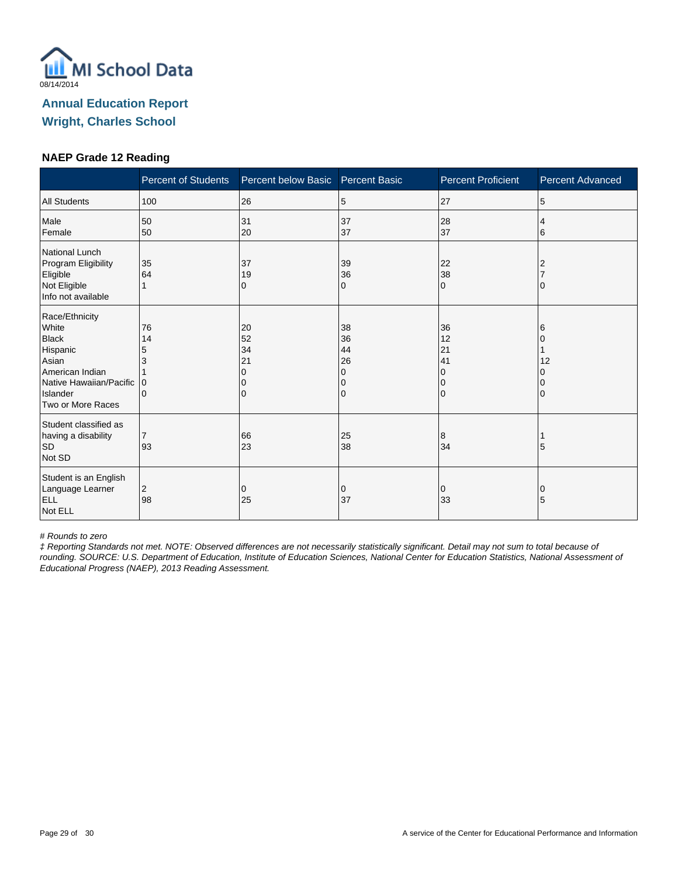

#### **NAEP Grade 12 Reading**

|                                                                                                                                             | <b>Percent of Students</b>                    | Percent below Basic            | <b>Percent Basic</b>                | <b>Percent Proficient</b>                                   | <b>Percent Advanced</b> |
|---------------------------------------------------------------------------------------------------------------------------------------------|-----------------------------------------------|--------------------------------|-------------------------------------|-------------------------------------------------------------|-------------------------|
| <b>All Students</b>                                                                                                                         | 100                                           | 26                             | 5                                   | 27                                                          | 5                       |
| Male<br>Female                                                                                                                              | 50<br>50                                      | 31<br>20                       | 37<br>37                            | 28<br>37                                                    | 4<br>6                  |
| National Lunch<br>Program Eligibility<br>Eligible<br>Not Eligible<br>Info not available                                                     | 35<br>64                                      | 37<br>19<br>0                  | 39<br>36<br>0                       | 22<br>38<br>$\Omega$                                        |                         |
| Race/Ethnicity<br>White<br><b>Black</b><br>Hispanic<br>Asian<br>American Indian<br>Native Hawaiian/Pacific<br>Islander<br>Two or More Races | 76<br>14<br>5<br>3<br>$\Omega$<br>$\mathbf 0$ | 20<br>52<br>34<br>21<br>O<br>0 | 38<br>36<br>44<br>26<br>0<br>0<br>0 | 36<br>12<br>21<br>41<br>$\Omega$<br>$\Omega$<br>$\mathbf 0$ | 6<br>12                 |
| Student classified as<br>having a disability<br><b>SD</b><br>Not SD                                                                         | $\overline{7}$<br>93                          | 66<br>23                       | 25<br>38                            | 8<br>34                                                     | 5                       |
| Student is an English<br>Language Learner<br><b>ELL</b><br>Not ELL                                                                          | 2<br>98                                       | 0<br>25                        | 0<br>37                             | 0<br>33                                                     | 0<br>5                  |

# Rounds to zero

‡ Reporting Standards not met. NOTE: Observed differences are not necessarily statistically significant. Detail may not sum to total because of rounding. SOURCE: U.S. Department of Education, Institute of Education Sciences, National Center for Education Statistics, National Assessment of Educational Progress (NAEP), 2013 Reading Assessment.